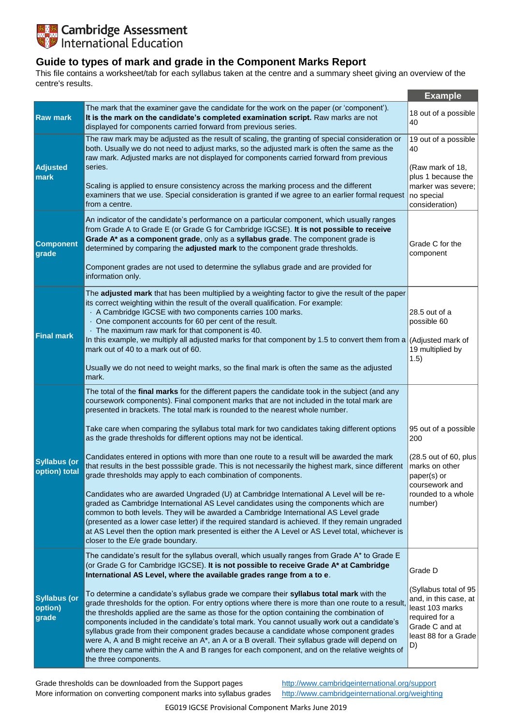# **Extra Cambridge Assessment**<br> **Extra International Education**

## **Guide to types of mark and grade in the Component Marks Report**

This file contains a worksheet/tab for each syllabus taken at the centre and a summary sheet giving an overview of the centre's results.

|                                         |                                                                                                                                                                                                                                                                                                                                                                                                                                                                                                                                                                                                                                                                                                               | <b>Example</b>                                                                                                                      |
|-----------------------------------------|---------------------------------------------------------------------------------------------------------------------------------------------------------------------------------------------------------------------------------------------------------------------------------------------------------------------------------------------------------------------------------------------------------------------------------------------------------------------------------------------------------------------------------------------------------------------------------------------------------------------------------------------------------------------------------------------------------------|-------------------------------------------------------------------------------------------------------------------------------------|
| <b>Raw mark</b>                         | The mark that the examiner gave the candidate for the work on the paper (or 'component').<br>It is the mark on the candidate's completed examination script. Raw marks are not<br>displayed for components carried forward from previous series.                                                                                                                                                                                                                                                                                                                                                                                                                                                              | 18 out of a possible<br>40                                                                                                          |
|                                         | The raw mark may be adjusted as the result of scaling, the granting of special consideration or<br>both. Usually we do not need to adjust marks, so the adjusted mark is often the same as the<br>raw mark. Adjusted marks are not displayed for components carried forward from previous                                                                                                                                                                                                                                                                                                                                                                                                                     | 19 out of a possible<br>40                                                                                                          |
| <b>Adjusted</b><br>mark                 | series.<br>Scaling is applied to ensure consistency across the marking process and the different                                                                                                                                                                                                                                                                                                                                                                                                                                                                                                                                                                                                              | (Raw mark of 18,<br>plus 1 because the<br>marker was severe;                                                                        |
|                                         | examiners that we use. Special consideration is granted if we agree to an earlier formal request  no special<br>from a centre.                                                                                                                                                                                                                                                                                                                                                                                                                                                                                                                                                                                | consideration)                                                                                                                      |
| <b>Component</b><br>grade               | An indicator of the candidate's performance on a particular component, which usually ranges<br>from Grade A to Grade E (or Grade G for Cambridge IGCSE). It is not possible to receive<br>Grade A* as a component grade, only as a syllabus grade. The component grade is<br>determined by comparing the adjusted mark to the component grade thresholds.<br>Component grades are not used to determine the syllabus grade and are provided for                                                                                                                                                                                                                                                               | Grade C for the<br>component                                                                                                        |
|                                         | information only.                                                                                                                                                                                                                                                                                                                                                                                                                                                                                                                                                                                                                                                                                             |                                                                                                                                     |
|                                         | The adjusted mark that has been multiplied by a weighting factor to give the result of the paper<br>its correct weighting within the result of the overall qualification. For example:<br>A Cambridge IGCSE with two components carries 100 marks.<br>One component accounts for 60 per cent of the result.<br>· The maximum raw mark for that component is 40.                                                                                                                                                                                                                                                                                                                                               | 28.5 out of a<br>possible 60                                                                                                        |
| <b>Final mark</b>                       | In this example, we multiply all adjusted marks for that component by 1.5 to convert them from a $\log$ (Adjusted mark of<br>mark out of 40 to a mark out of 60.                                                                                                                                                                                                                                                                                                                                                                                                                                                                                                                                              | 19 multiplied by<br>1.5)                                                                                                            |
|                                         | Usually we do not need to weight marks, so the final mark is often the same as the adjusted<br>mark.                                                                                                                                                                                                                                                                                                                                                                                                                                                                                                                                                                                                          |                                                                                                                                     |
|                                         | The total of the final marks for the different papers the candidate took in the subject (and any<br>coursework components). Final component marks that are not included in the total mark are<br>presented in brackets. The total mark is rounded to the nearest whole number.                                                                                                                                                                                                                                                                                                                                                                                                                                |                                                                                                                                     |
|                                         | Take care when comparing the syllabus total mark for two candidates taking different options<br>as the grade thresholds for different options may not be identical.                                                                                                                                                                                                                                                                                                                                                                                                                                                                                                                                           | 95 out of a possible<br>200                                                                                                         |
| <b>Syllabus (or</b><br>option) total    | Candidates entered in options with more than one route to a result will be awarded the mark<br>that results in the best posssible grade. This is not necessarily the highest mark, since different<br>grade thresholds may apply to each combination of components.                                                                                                                                                                                                                                                                                                                                                                                                                                           | $(28.5 \text{ out of } 60, \text{ plus }$<br>marks on other<br> paper(s) or<br>coursework and                                       |
|                                         | Candidates who are awarded Ungraded (U) at Cambridge International A Level will be re-<br>graded as Cambridge International AS Level candidates using the components which are<br>common to both levels. They will be awarded a Cambridge International AS Level grade<br>(presented as a lower case letter) if the required standard is achieved. If they remain ungraded<br>at AS Level then the option mark presented is either the A Level or AS Level total, whichever is<br>closer to the E/e grade boundary.                                                                                                                                                                                           | rounded to a whole<br>number)                                                                                                       |
|                                         | The candidate's result for the syllabus overall, which usually ranges from Grade $A^*$ to Grade E<br>(or Grade G for Cambridge IGCSE). It is not possible to receive Grade A* at Cambridge<br>International AS Level, where the available grades range from a to e.                                                                                                                                                                                                                                                                                                                                                                                                                                           | Grade D                                                                                                                             |
| <b>Syllabus (or</b><br>option)<br>grade | To determine a candidate's syllabus grade we compare their syllabus total mark with the<br>grade thresholds for the option. For entry options where there is more than one route to a result,<br>the thresholds applied are the same as those for the option containing the combination of<br>components included in the candidate's total mark. You cannot usually work out a candidate's<br>syllabus grade from their component grades because a candidate whose component grades<br>were A, A and B might receive an A*, an A or a B overall. Their syllabus grade will depend on<br>where they came within the A and B ranges for each component, and on the relative weights of<br>the three components. | (Syllabus total of 95<br>and, in this case, at<br>least 103 marks<br>required for a<br>Grade C and at<br>least 88 for a Grade<br>D) |

Grade thresholds can be downloaded from the Support pages <http://www.cambridgeinternational.org/support> More information on converting component marks into syllabus grades <http://www.cambridgeinternational.org/weighting>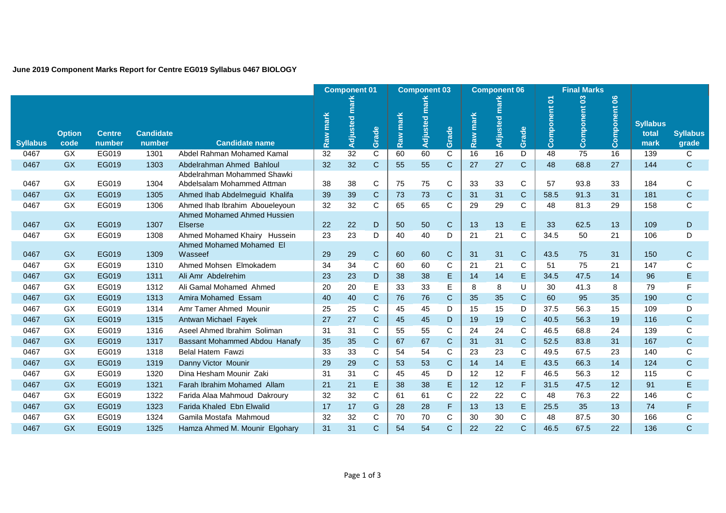#### **June 2019 Component Marks Report for Centre EG019 Syllabus 0467 BIOLOGY**

|                 |                       |                         |                            |                                                           | <b>Component 01</b> |               |                         |          | <b>Component 03</b> |                  |          | <b>Component 06</b> |              |              | <b>Final Marks</b> |              |                                  |                          |
|-----------------|-----------------------|-------------------------|----------------------------|-----------------------------------------------------------|---------------------|---------------|-------------------------|----------|---------------------|------------------|----------|---------------------|--------------|--------------|--------------------|--------------|----------------------------------|--------------------------|
| <b>Syllabus</b> | <b>Option</b><br>code | <b>Centre</b><br>number | <b>Candidate</b><br>number | <b>Candidate name</b>                                     | mark<br>Raw         | Adjusted mark | Grade                   | Raw mark | Adjusted mar        | Grade            | Raw mark | Adjusted marl       | Grade        | Component 01 | Component 03       | Component 06 | <b>Syllabus</b><br>total<br>mark | <b>Syllabus</b><br>grade |
| 0467            | GX                    | EG019                   | 1301                       | Abdel Rahman Mohamed Kamal                                | 32                  | 32            | $\overline{\mathsf{C}}$ | 60       | 60                  | $\overline{C}$   | 16       | 16                  | D            | 48           | 75                 | 16           | 139                              | $\mathsf{C}$             |
| 0467            | <b>GX</b>             | EG019                   | 1303                       | Abdelrahman Ahmed Bahloul                                 | 32                  | 32            | $\mathbf{C}$            | 55       | 55                  | $\mathsf{C}$     | 27       | 27                  | $\mathbf{C}$ | 48           | 68.8               | 27           | 144                              | $\mathsf C$              |
| 0467            | GX                    | EG019                   | 1304                       | Abdelrahman Mohammed Shawki<br>Abdelsalam Mohammed Attman | 38                  | 38            | C                       | 75       | 75                  | C                | 33       | 33                  | C            | 57           | 93.8               | 33           | 184                              | $\mathbf C$              |
| 0467            | <b>GX</b>             | EG019                   | 1305                       | Ahmed Ihab Abdelmeguid Khalifa                            | 39                  | 39            | $\mathsf C$             | 73       | 73                  | $\mathsf C$      | 31       | 31                  | $\mathsf{C}$ | 58.5         | 91.3               | 31           | 181                              | $\mathsf C$              |
| 0467            | GX                    | EG019                   | 1306                       | Ahmed Ihab Ibrahim Aboueleyoun                            | 32                  | 32            | $\mathsf C$             | 65       | 65                  | С                | 29       | 29                  | С            | 48           | 81.3               | 29           | 158                              | C                        |
| 0467            | <b>GX</b>             | EG019                   | 1307                       | Ahmed Mohamed Ahmed Hussien<br><b>Elserse</b>             | 22                  | 22            | D                       | 50       | 50                  | $\mathbf C$      | 13       | 13                  | E            | 33           | 62.5               | 13           | 109                              | D                        |
| 0467            | GX                    | EG019                   | 1308                       | Ahmed Mohamed Khairy Hussein                              | 23                  | 23            | D                       | 40       | 40                  | D                | 21       | 21                  | С            | 34.5         | 50                 | 21           | 106                              | D                        |
| 0467            | <b>GX</b>             | EG019                   | 1309                       | Ahmed Mohamed Mohamed El<br>Wasseef                       | 29                  | 29            | $\mathsf{C}$            | 60       | 60                  | $\mathsf{C}$     | 31       | 31                  | $\mathsf{C}$ | 43.5         | 75                 | 31           | 150                              | $\mathbf C$              |
| 0467            | GX                    | EG019                   | 1310                       | Ahmed Mohsen Elmokadem                                    | 34                  | 34            | C                       | 60       | 60                  | С                | 21       | 21                  | C            | 51           | 75                 | 21           | 147                              | С                        |
| 0467            | <b>GX</b>             | EG019                   | 1311                       | Ali Amr Abdelrehim                                        | 23                  | 23            | D                       | 38       | 38                  | E                | 14       | 14                  | Е            | 34.5         | 47.5               | 14           | 96                               | E                        |
| 0467            | GX                    | EG019                   | 1312                       | Ali Gamal Mohamed Ahmed                                   | 20                  | 20            | E                       | 33       | 33                  | Е                | 8        | 8                   | $\cup$       | 30           | 41.3               | 8            | 79                               | F                        |
| 0467            | <b>GX</b>             | EG019                   | 1313                       | Amira Mohamed Essam                                       | 40                  | 40            | $\mathsf C$             | 76       | 76                  | $\mathbf C$      | 35       | 35                  | $\mathsf{C}$ | 60           | 95                 | 35           | 190                              | C                        |
| 0467            | GX                    | EG019                   | 1314                       | Amr Tamer Ahmed Mounir                                    | 25                  | 25            | C                       | 45       | 45                  | D                | 15       | 15                  | D            | 37.5         | 56.3               | 15           | 109                              | D                        |
| 0467            | <b>GX</b>             | EG019                   | 1315                       | Antwan Michael Fayek                                      | 27                  | 27            | $\mathsf C$             | 45       | 45                  | D                | 19       | 19                  | $\mathsf{C}$ | 40.5         | 56.3               | 19           | 116                              | $\mathsf C$              |
| 0467            | GX                    | EG019                   | 1316                       | Aseel Ahmed Ibrahim Soliman                               | 31                  | 31            | C                       | 55       | 55                  | С                | 24       | 24                  | С            | 46.5         | 68.8               | 24           | 139                              | C                        |
| 0467            | <b>GX</b>             | EG019                   | 1317                       | Bassant Mohammed Abdou Hanafy                             | 35                  | 35            | $\mathsf C$             | 67       | 67                  | $\mathbf C$      | 31       | 31                  | $\mathsf{C}$ | 52.5         | 83.8               | 31           | 167                              | $\mathsf C$              |
| 0467<br>0467    | GX<br><b>GX</b>       | EG019<br>EG019          | 1318<br>1319               | <b>Belal Hatem Fawzi</b><br>Danny Victor Mounir           | 33<br>29            | 33<br>29      | C<br>$\mathsf C$        | 54<br>53 | 54<br>53            | С<br>$\mathsf C$ | 23<br>14 | 23<br>14            | C<br>E.      | 49.5<br>43.5 | 67.5<br>66.3       | 23<br>14     | 140<br>124                       | С<br>$\mathsf C$         |
| 0467            | GX                    | EG019                   | 1320                       | Dina Hesham Mounir Zaki                                   | 31                  | 31            | C                       | 45       | 45                  | D                | 12       | 12                  | F            | 46.5         | 56.3               | 12           | 115                              | C                        |
| 0467            | <b>GX</b>             | EG019                   | 1321                       | Farah Ibrahim Mohamed Allam                               | 21                  | 21            | E                       | 38       | 38                  | E                | 12       | 12                  | F            | 31.5         | 47.5               | 12           | 91                               | E                        |
| 0467            | GX                    | EG019                   | 1322                       | Farida Alaa Mahmoud Dakroury                              | 32                  | 32            | C                       | 61       | 61                  | С                | 22       | 22                  | C.           | 48           | 76.3               | 22           | 146                              | С                        |
| 0467            | <b>GX</b>             | EG019                   | 1323                       | Farida Khaled Ebn Elwalid                                 | 17                  | 17            | G                       | 28       | 28                  | F                | 13       | 13                  | E            | 25.5         | 35                 | 13           | 74                               | F                        |
| 0467            | GX                    | EG019                   | 1324                       | Gamila Mostafa Mahmoud                                    | 32                  | 32            | C                       | 70       | 70                  | С                | 30       | 30                  | C            | 48           | 87.5               | 30           | 166                              | C                        |
| 0467            | <b>GX</b>             | EG019                   | 1325                       | Hamza Ahmed M. Mounir Elgohary                            | 31                  | 31            | $\mathsf C$             | 54       | 54                  | С                | 22       | 22                  | C.           | 46.5         | 67.5               | 22           | 136                              | C                        |
|                 |                       |                         |                            |                                                           |                     |               |                         |          |                     |                  |          |                     |              |              |                    |              |                                  |                          |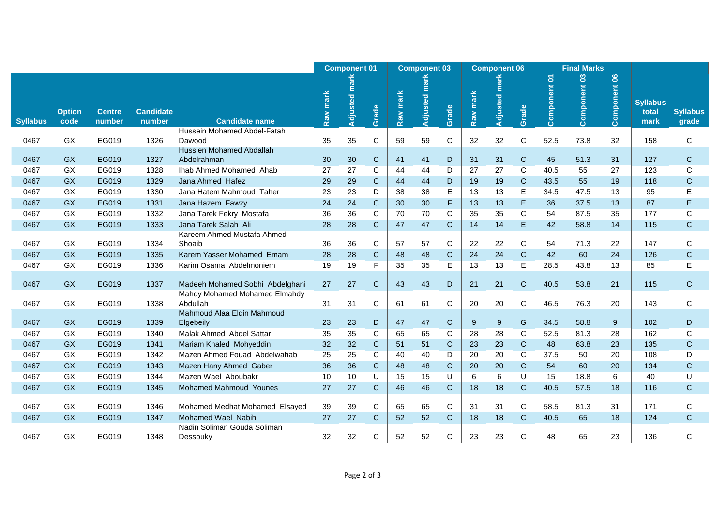|                 |                       |                         |                            |                                           | <b>Component 01</b> |                  |              |          | <b>Component 03</b> |             |          | <b>Component 06</b> |              |              | <b>Final Marks</b> |              |                                  |                          |
|-----------------|-----------------------|-------------------------|----------------------------|-------------------------------------------|---------------------|------------------|--------------|----------|---------------------|-------------|----------|---------------------|--------------|--------------|--------------------|--------------|----------------------------------|--------------------------|
| <b>Syllabus</b> | <b>Option</b><br>code | <b>Centre</b><br>number | <b>Candidate</b><br>number | <b>Candidate name</b>                     | Raw mark            | mark<br>Adjusted | Grade        | Raw mark | Adjusted mark       | Grade       | Raw mark | <b>Adjusted mar</b> | Grade        | Component 01 | Component 03       | Component 06 | <b>Syllabus</b><br>total<br>mark | <b>Syllabus</b><br>grade |
| 0467            | GX                    | EG019                   | 1326                       | Hussein Mohamed Abdel-Fatah<br>Dawood     | 35                  | 35               | $\mathsf C$  | 59       | 59                  | $\mathbf C$ | 32       | 32                  | $\mathbf C$  | 52.5         | 73.8               | 32           | 158                              | $\mathbf C$              |
|                 |                       |                         |                            | <b>Hussien Mohamed Abdallah</b>           |                     |                  |              |          |                     |             |          |                     |              |              |                    |              |                                  |                          |
| 0467            | <b>GX</b>             | EG019                   | 1327                       | Abdelrahman                               | 30                  | 30               | $\mathsf C$  | 41       | 41                  | D           | 31       | 31                  | $\mathbf C$  | 45           | 51.3               | 31           | 127                              | $\mathsf{C}$             |
| 0467            | GX                    | EG019                   | 1328                       | Ihab Ahmed Mohamed Ahab                   | 27                  | 27               | C            | 44       | 44                  | D           | 27       | 27                  | C            | 40.5         | 55                 | 27           | 123                              | $\mathbf C$              |
| 0467            | <b>GX</b>             | EG019                   | 1329                       | Jana Ahmed Hafez                          | 29                  | 29               | $\mathbf C$  | 44       | 44                  | D           | 19       | 19                  | $\mathbf C$  | 43.5         | 55                 | 19           | 118                              | $\mathbf C$              |
| 0467            | GX                    | EG019                   | 1330                       | Jana Hatem Mahmoud Taher                  | 23                  | 23               | D            | 38       | 38                  | E           | 13       | 13                  | $\mathsf E$  | 34.5         | 47.5               | 13           | 95                               | E                        |
| 0467            | <b>GX</b>             | EG019                   | 1331                       | Jana Hazem Fawzy                          | 24                  | 24               | $\mathbf C$  | 30       | 30                  | F           | 13       | 13                  | $\mathsf E$  | 36           | 37.5               | 13           | 87                               | E                        |
| 0467            | GX                    | EG019                   | 1332                       | Jana Tarek Fekry Mostafa                  | 36                  | 36               | $\mathsf C$  | 70       | 70                  | $\mathbf C$ | 35       | 35                  | $\mathbf C$  | 54           | 87.5               | 35           | 177                              | $\mathsf C$              |
| 0467            | <b>GX</b>             | EG019                   | 1333                       | Jana Tarek Salah Ali                      | 28                  | 28               | $\mathsf{C}$ | 47       | 47                  | C           | 14       | 14                  | $\mathsf E$  | 42           | 58.8               | 14           | 115                              | $\mathsf C$              |
| 0467            | GX                    | EG019                   | 1334                       | Kareem Ahmed Mustafa Ahmed<br>Shoaib      | 36                  | 36               | $\mathbf C$  | 57       | 57                  | C           | 22       | 22                  | $\mathbf C$  | 54           | 71.3               | 22           | 147                              | $\mathbf C$              |
| 0467            | <b>GX</b>             | EG019                   | 1335                       | Karem Yasser Mohamed Emam                 | 28                  | 28               | $\mathbf C$  | 48       | 48                  | C           | 24       | 24                  | $\mathbf C$  | 42           | 60                 | 24           | 126                              | $\mathsf C$              |
| 0467            | GX                    | EG019                   | 1336                       | Karim Osama Abdelmoniem                   | 19                  | 19               | F            | 35       | 35                  | Е           | 13       | 13                  | Е            | 28.5         | 43.8               | 13           | 85                               | E                        |
| 0467            | <b>GX</b>             | EG019                   | 1337                       | Madeeh Mohamed Sobhi Abdelghani           | 27                  | 27               | $\mathbf C$  | 43       | 43                  | D           | 21       | 21                  | $\mathbf C$  | 40.5         | 53.8               | 21           | 115                              | $\mathbf C$              |
| 0467            | GX                    | EG019                   | 1338                       | Mahdy Mohamed Mohamed Elmahdy<br>Abdullah | 31                  | 31               | $\mathsf C$  | 61       | 61                  | $\mathbf C$ | 20       | 20                  | $\mathsf{C}$ | 46.5         | 76.3               | 20           | 143                              | $\mathbf C$              |
| 0467            | <b>GX</b>             | EG019                   | 1339                       | Mahmoud Alaa Eldin Mahmoud<br>Elgebeily   | 23                  | 23               | D            | 47       | 47                  | $\mathbf C$ | 9        | $\boldsymbol{9}$    | G            | 34.5         | 58.8               | 9            | 102                              | D                        |
| 0467            | GX                    | EG019                   | 1340                       | Malak Ahmed Abdel Sattar                  | 35                  | 35               | $\mathsf C$  | 65       | 65                  | $\mathbf C$ | 28       | 28                  | $\mathbf C$  | 52.5         | 81.3               | 28           | 162                              | $\mathbf C$              |
| 0467            | <b>GX</b>             | EG019                   | 1341                       | Mariam Khaled Mohyeddin                   | 32                  | 32               | $\mathbf C$  | 51       | 51                  | C           | 23       | 23                  | $\mathbf C$  | 48           | 63.8               | 23           | 135                              | $\mathbf C$              |
| 0467            | GX                    | EG019                   | 1342                       | Mazen Ahmed Fouad Abdelwahab              | 25                  | 25               | C            | 40       | 40                  | D           | 20       | 20                  | C            | 37.5         | 50                 | 20           | 108                              | D                        |
| 0467            | <b>GX</b>             | EG019                   | 1343                       | Mazen Hany Ahmed Gaber                    | 36                  | 36               | $\mathsf{C}$ | 48       | 48                  | $\mathsf C$ | 20       | 20                  | $\mathbf C$  | 54           | 60                 | 20           | 134                              | $\mathsf C$              |
| 0467            | GX                    | EG019                   | 1344                       | Mazen Wael Aboubakr                       | 10                  | 10               | U            | 15       | 15                  | U           | 6        | $\,6$               | U            | 15           | 18.8               | 6            | 40                               | $\sf U$                  |
| 0467            | <b>GX</b>             | EG019                   | 1345                       | <b>Mohamed Mahmoud Younes</b>             | 27                  | 27               | $\mathsf{C}$ | 46       | 46                  | C           | 18       | 18                  | $\mathsf{C}$ | 40.5         | 57.5               | 18           | 116                              | $\mathbf C$              |
| 0467            | GX                    | EG019                   | 1346                       | Mohamed Medhat Mohamed Elsayed            | 39                  | 39               | $\mathsf C$  | 65       | 65                  | C           | 31       | 31                  | C            | 58.5         | 81.3               | 31           | 171                              | $\mathbf C$              |
| 0467            | <b>GX</b>             | EG019                   | 1347                       | <b>Mohamed Wael Nabih</b>                 | 27                  | 27               | $\mathbf C$  | 52       | 52                  | C.          | 18       | 18                  | $\mathsf{C}$ | 40.5         | 65                 | 18           | 124                              | $\mathbf C$              |
| 0467            | GX                    | EG019                   | 1348                       | Nadin Soliman Gouda Soliman<br>Dessouky   | 32                  | 32               | C            | 52       | 52                  | C           | 23       | 23                  | C            | 48           | 65                 | 23           | 136                              | $\mathbf C$              |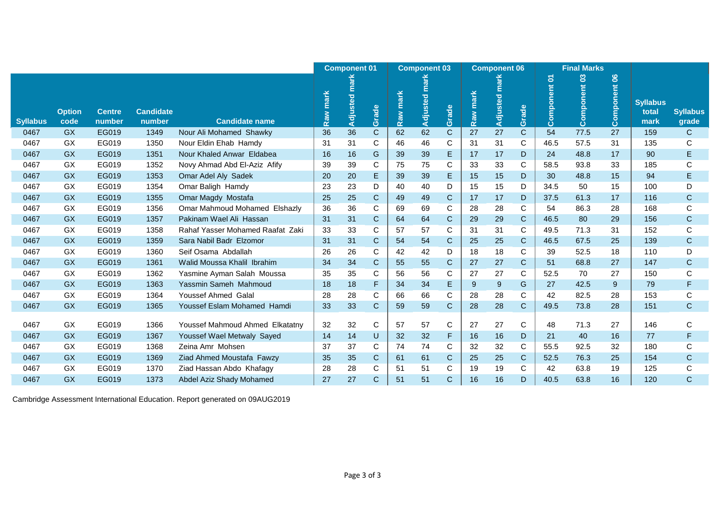|                 |                       |                         |                            |                                  | <b>Component 01</b> |          |               | <b>Component 03</b> |                     |              | <b>Component 06</b> |               |              | <b>Final Marks</b> |              |              |                                  |                          |
|-----------------|-----------------------|-------------------------|----------------------------|----------------------------------|---------------------|----------|---------------|---------------------|---------------------|--------------|---------------------|---------------|--------------|--------------------|--------------|--------------|----------------------------------|--------------------------|
|                 |                       |                         |                            |                                  |                     | mark     |               |                     |                     |              |                     |               |              |                    |              |              |                                  |                          |
| <b>Syllabus</b> | <b>Option</b><br>code | <b>Centre</b><br>number | <b>Candidate</b><br>number | <b>Candidate name</b>            | Raw mark            | Adjusted | Grade         | Raw mark            | <b>Adjusted mar</b> | Grade        | Raw mark            | Adjusted mark | Grade        | Component 01       | Component 03 | Component 06 | <b>Syllabus</b><br>total<br>mark | <b>Syllabus</b><br>grade |
| 0467            | <b>GX</b>             | EG019                   | 1349                       | Nour Ali Mohamed Shawky          | 36                  | 36       | $\mathsf C$   | 62                  | 62                  | $\mathbf{C}$ | 27                  | 27            | $\mathbf C$  | 54                 | 77.5         | 27           | 159                              | C                        |
| 0467            | GX                    | EG019                   | 1350                       | Nour Eldin Ehab Hamdy            | 31                  | 31       | C             | 46                  | 46                  | C            | 31                  | 31            | C            | 46.5               | 57.5         | 31           | 135                              | С                        |
| 0467            | <b>GX</b>             | EG019                   | 1351                       | Nour Khaled Anwar Eldabea        | 16                  | 16       | ${\mathsf G}$ | 39                  | 39                  | E            | 17                  | 17            | D            | 24                 | 48.8         | 17           | 90                               | E                        |
| 0467            | <b>GX</b>             | EG019                   | 1352                       | Novy Ahmad Abd El-Aziz Afify     | 39                  | 39       | C             | 75                  | 75                  | С            | 33                  | 33            | $\mathsf{C}$ | 58.5               | 93.8         | 33           | 185                              | $\mathbf C$              |
| 0467            | <b>GX</b>             | EG019                   | 1353                       | Omar Adel Aly Sadek              | 20                  | 20       | E             | 39                  | 39                  | E            | 15                  | 15            | D            | 30                 | 48.8         | 15           | 94                               | E                        |
| 0467            | GX                    | EG019                   | 1354                       | Omar Baligh Hamdy                | 23                  | 23       | D             | 40                  | 40                  | D            | 15                  | 15            | D            | 34.5               | 50           | 15           | 100                              | D                        |
| 0467            | <b>GX</b>             | EG019                   | 1355                       | Omar Magdy Mostafa               | 25                  | 25       | $\mathbf C$   | 49                  | 49                  | $\mathsf{C}$ | 17                  | 17            | D            | 37.5               | 61.3         | 17           | 116                              | $\mathbf C$              |
| 0467            | GX                    | EG019                   | 1356                       | Omar Mahmoud Mohamed Elshazly    | 36                  | 36       | C             | 69                  | 69                  | $\mathsf C$  | 28                  | 28            | $\mathsf{C}$ | 54                 | 86.3         | 28           | 168                              | $\mathbf C$              |
| 0467            | <b>GX</b>             | EG019                   | 1357                       | Pakinam Wael Ali Hassan          | 31                  | 31       | $\mathbf C$   | 64                  | 64                  | $\mathsf{C}$ | 29                  | 29            | $\mathsf{C}$ | 46.5               | 80           | 29           | 156                              | $\mathbf C$              |
| 0467            | GX                    | EG019                   | 1358                       | Rahaf Yasser Mohamed Raafat Zaki | 33                  | 33       | C             | 57                  | 57                  | C            | 31                  | 31            | $\mathsf{C}$ | 49.5               | 71.3         | 31           | 152                              | $\mathbf C$              |
| 0467            | <b>GX</b>             | EG019                   | 1359                       | Sara Nabil Badr Elzomor          | 31                  | 31       | $\mathbf C$   | 54                  | 54                  | $\mathsf{C}$ | 25                  | 25            | $\mathsf{C}$ | 46.5               | 67.5         | 25           | 139                              | $\mathbf C$              |
| 0467            | GX                    | EG019                   | 1360                       | Seif Osama Abdallah              | 26                  | 26       | C             | 42                  | 42                  | D            | 18                  | 18            | $\mathbf C$  | 39                 | 52.5         | 18           | 110                              | D                        |
| 0467            | <b>GX</b>             | EG019                   | 1361                       | Walid Moussa Khalil Ibrahim      | 34                  | 34       | $\mathbf C$   | 55                  | 55                  | $\mathsf{C}$ | 27                  | 27            | $\mathsf{C}$ | 51                 | 68.8         | 27           | 147                              | $\mathbf C$              |
| 0467            | GX                    | EG019                   | 1362                       | Yasmine Ayman Salah Moussa       | 35                  | 35       | C             | 56                  | 56                  | $\mathsf C$  | 27                  | 27            | $\mathbf C$  | 52.5               | 70           | 27           | 150                              | $\mathbf C$              |
| 0467            | <b>GX</b>             | EG019                   | 1363                       | Yassmin Sameh Mahmoud            | 18                  | 18       | F             | 34                  | 34                  | E.           | 9                   | 9             | G            | 27                 | 42.5         | 9            | 79                               | F                        |
| 0467            | GX                    | EG019                   | 1364                       | Youssef Ahmed Galal              | 28                  | 28       | C             | 66                  | 66                  | С            | 28                  | 28            | C            | 42                 | 82.5         | 28           | 153                              | $\mathbf C$              |
| 0467            | <b>GX</b>             | EG019                   | 1365                       | Youssef Eslam Mohamed Hamdi      | 33                  | 33       | $\mathsf C$   | 59                  | 59                  | $\mathsf{C}$ | 28                  | 28            | $\mathsf{C}$ | 49.5               | 73.8         | 28           | 151                              | $\mathbf C$              |
| 0467            | GX                    | EG019                   | 1366                       | Youssef Mahmoud Ahmed Elkatatny  | 32                  | 32       | C             | 57                  | 57                  | C            | 27                  | 27            | $\mathsf{C}$ | 48                 | 71.3         | 27           | 146                              | C                        |
| 0467            | <b>GX</b>             | EG019                   | 1367                       | Youssef Wael Metwaly Sayed       | 14                  | 14       | U             | 32                  | 32                  | F            | 16                  | 16            | D            | 21                 | 40           | 16           | 77                               | F                        |
| 0467            | <b>GX</b>             | EG019                   | 1368                       | Zeina Amr Mohsen                 | 37                  | 37       | С             | 74                  | 74                  | С            | 32                  | 32            | C            | 55.5               | 92.5         | 32           | 180                              | $\mathbf C$              |
| 0467            | <b>GX</b>             | EG019                   | 1369                       | Ziad Ahmed Moustafa Fawzy        | 35                  | 35       | $\mathbf C$   | 61                  | 61                  | $\mathbf C$  | 25                  | 25            | $\mathbf C$  | 52.5               | 76.3         | 25           | 154                              | $\mathbf C$              |
| 0467            | <b>GX</b>             | EG019                   | 1370                       | Ziad Hassan Abdo Khafagy         | 28                  | 28       | С             | 51                  | 51                  | С            | 19                  | 19            | $\mathsf{C}$ | 42                 | 63.8         | 19           | 125                              | C                        |
| 0467            | <b>GX</b>             | EG019                   | 1373                       | Abdel Aziz Shady Mohamed         | 27                  | 27       | С             | 51                  | 51                  | $\mathsf{C}$ | 16                  | 16            | D            | 40.5               | 63.8         | 16           | 120                              | $\mathbf C$              |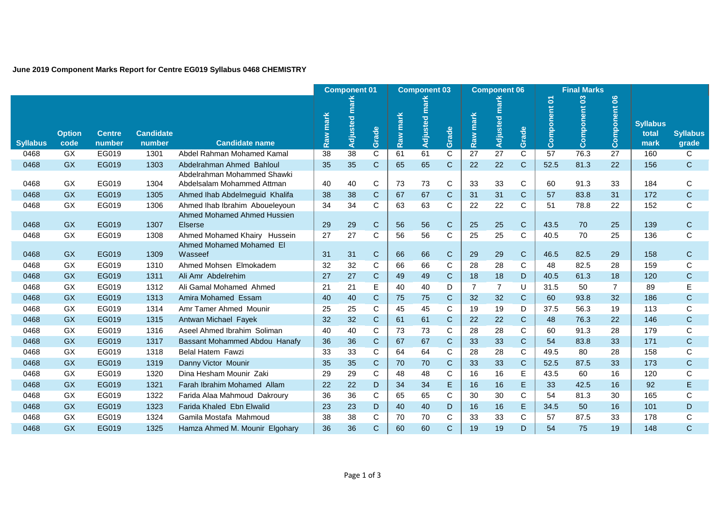#### **June 2019 Component Marks Report for Centre EG019 Syllabus 0468 CHEMISTRY**

|                 |                       |                         |                            |                                                          | <b>Component 01</b> |               |                         | <b>Component 03</b> |               |              | <b>Component 06</b> |                 |              | <b>Final Marks</b> |              |                |                                  |                          |
|-----------------|-----------------------|-------------------------|----------------------------|----------------------------------------------------------|---------------------|---------------|-------------------------|---------------------|---------------|--------------|---------------------|-----------------|--------------|--------------------|--------------|----------------|----------------------------------|--------------------------|
| <b>Syllabus</b> | <b>Option</b><br>code | <b>Centre</b><br>number | <b>Candidate</b><br>number | <b>Candidate name</b>                                    | mark<br>Raw         | Adjusted mark | Grade                   | Raw mark            | Adjusted mark | Grade        | Raw mark            | Adjusted mark   | Grade        | Component 01       | Component 03 | Component 06   | <b>Syllabus</b><br>total<br>mark | <b>Syllabus</b><br>grade |
| 0468            | GX                    | EG019                   | 1301                       | Abdel Rahman Mohamed Kamal                               | 38                  | 38            | $\overline{\mathsf{c}}$ | 61                  | 61            | $\mathsf{C}$ | $\overline{27}$     | $\overline{27}$ | $\mathsf{C}$ | 57                 | 76.3         | 27             | 160                              | C                        |
| 0468            | <b>GX</b>             | EG019                   | 1303                       | Abdelrahman Ahmed Bahloul<br>Abdelrahman Mohammed Shawki | 35                  | 35            | $\mathbf C$             | 65                  | 65            | $\mathbf C$  | 22                  | 22              | $\mathsf{C}$ | 52.5               | 81.3         | 22             | 156                              | C                        |
| 0468            | GX                    | EG019                   | 1304                       | Abdelsalam Mohammed Attman                               | 40                  | 40            | $\mathsf C$             | 73                  | 73            | C            | 33                  | 33              | C            | 60                 | 91.3         | 33             | 184                              | С                        |
| 0468            | <b>GX</b>             | EG019                   | 1305                       | Ahmed Ihab Abdelmeguid Khalifa                           | 38                  | 38            | $\mathbf C$             | 67                  | 67            | $\mathbf C$  | 31                  | 31              | $\mathbf C$  | 57                 | 83.8         | 31             | 172                              | $\mathbf C$              |
| 0468            | GX                    | EG019                   | 1306                       | Ahmed Ihab Ibrahim Aboueleyoun                           | 34                  | 34            | $\mathsf C$             | 63                  | 63            | $\mathsf C$  | 22                  | 22              | $\mathsf C$  | 51                 | 78.8         | 22             | 152                              | C                        |
| 0468            | <b>GX</b>             | EG019                   | 1307                       | Ahmed Mohamed Ahmed Hussien<br><b>Elserse</b>            | 29                  | 29            | $\mathbf C$             | 56                  | 56            | $\mathbf C$  | 25                  | 25              | $\mathsf{C}$ | 43.5               | 70           | 25             | 139                              | $\mathbf C$              |
| 0468            | GX                    | EG019                   | 1308                       | Ahmed Mohamed Khairy Hussein<br>Ahmed Mohamed Mohamed El | 27                  | 27            | $\mathsf C$             | 56                  | 56            | С            | 25                  | 25              | $\mathbf C$  | 40.5               | 70           | 25             | 136                              | $\mathsf C$              |
| 0468            | GX                    | EG019                   | 1309                       | Wasseef                                                  | 31                  | 31            | $\mathsf C$             | 66                  | 66            | $\mathbf C$  | 29                  | 29              | $\mathsf{C}$ | 46.5               | 82.5         | 29             | 158                              | $\mathsf C$              |
| 0468            | GX                    | EG019                   | 1310                       | Ahmed Mohsen Elmokadem                                   | 32                  | 32            | $\mathsf C$             | 66                  | 66            | С            | 28                  | 28              | C            | 48                 | 82.5         | 28             | 159                              | C                        |
| 0468            | <b>GX</b>             | EG019                   | 1311                       | Ali Amr Abdelrehim                                       | 27                  | 27            | $\mathsf C$             | 49                  | 49            | $\mathbf C$  | 18                  | 18              | D            | 40.5               | 61.3         | 18             | 120                              | C                        |
| 0468            | <b>GX</b>             | EG019                   | 1312                       | Ali Gamal Mohamed Ahmed                                  | 21                  | 21            | E                       | 40                  | 40            | D            | $\overline{7}$      | $\overline{7}$  | U            | 31.5               | 50           | $\overline{7}$ | 89                               | E                        |
| 0468            | <b>GX</b>             | EG019                   | 1313                       | Amira Mohamed Essam                                      | 40                  | 40            | $\mathsf C$             | 75                  | 75            | $\mathbf C$  | 32                  | 32              | $\mathsf{C}$ | 60                 | 93.8         | 32             | 186                              | $\mathsf C$              |
| 0468            | GX                    | EG019                   | 1314                       | Amr Tamer Ahmed Mounir                                   | 25                  | 25            | $\mathsf C$             | 45                  | 45            | С            | 19                  | 19              | D            | 37.5               | 56.3         | 19             | 113                              | C                        |
| 0468            | <b>GX</b>             | EG019                   | 1315                       | Antwan Michael Fayek                                     | 32                  | 32            | $\mathsf C$             | 61                  | 61            | $\mathbf C$  | 22                  | 22              | $\mathsf{C}$ | 48                 | 76.3         | 22             | 146                              | $\mathsf C$              |
| 0468            | GX                    | EG019                   | 1316                       | Aseel Ahmed Ibrahim Soliman                              | 40                  | 40            | C                       | 73                  | 73            | С            | 28                  | 28              | С            | 60                 | 91.3         | 28             | 179                              | C                        |
| 0468            | <b>GX</b>             | EG019                   | 1317                       | Bassant Mohammed Abdou Hanafy                            | 36                  | 36            | $\mathsf C$             | 67                  | 67            | $\mathbf C$  | 33                  | 33              | $\mathsf{C}$ | 54                 | 83.8         | 33             | 171                              | $\mathsf C$              |
| 0468            | GX                    | EG019                   | 1318                       | <b>Belal Hatem Fawzi</b>                                 | 33                  | 33            | $\mathsf C$             | 64                  | 64            | С            | 28                  | 28              | C            | 49.5               | 80           | 28             | 158                              | C                        |
| 0468            | <b>GX</b>             | EG019                   | 1319                       | Danny Victor Mounir                                      | 35                  | 35            | $\mathsf C$             | 70                  | 70            | $\mathsf{C}$ | 33                  | 33              | $\mathsf{C}$ | 52.5               | 87.5         | 33             | 173                              | $\mathsf{C}$             |
| 0468            | GX                    | EG019                   | 1320                       | Dina Hesham Mounir Zaki                                  | 29                  | 29            | C                       | 48                  | 48            | $\mathsf C$  | 16                  | 16              | E            | 43.5               | 60           | 16             | 120                              | C                        |
| 0468            | <b>GX</b>             | EG019                   | 1321                       | Farah Ibrahim Mohamed Allam                              | 22                  | 22            | D                       | 34                  | 34            | E.           | 16                  | 16              | E            | 33                 | 42.5         | 16             | 92                               | Ε                        |
| 0468            | GX                    | EG019                   | 1322                       | Farida Alaa Mahmoud Dakroury                             | 36                  | 36            | $\mathsf C$             | 65                  | 65            | $\mathsf C$  | 30                  | 30              | C            | 54                 | 81.3         | 30             | 165                              | C                        |
| 0468            | <b>GX</b>             | EG019                   | 1323                       | Farida Khaled Ebn Elwalid                                | 23                  | 23            | D                       | 40                  | 40            | D            | 16                  | 16              | E            | 34.5               | 50           | 16             | 101                              | D                        |
| 0468            | GX                    | EG019                   | 1324                       | Gamila Mostafa Mahmoud                                   | 38                  | 38            | C                       | 70                  | 70            | С            | 33                  | 33              | C            | 57                 | 87.5         | 33             | 178                              | C<br>$\overline{C}$      |
| 0468            | GX                    | EG019                   | 1325                       | Hamza Ahmed M. Mounir Elgohary                           | 36                  | 36            | $\mathsf C$             | 60                  | 60            | $\mathbf C$  | 19                  | 19              | D            | 54                 | 75           | 19             | 148                              |                          |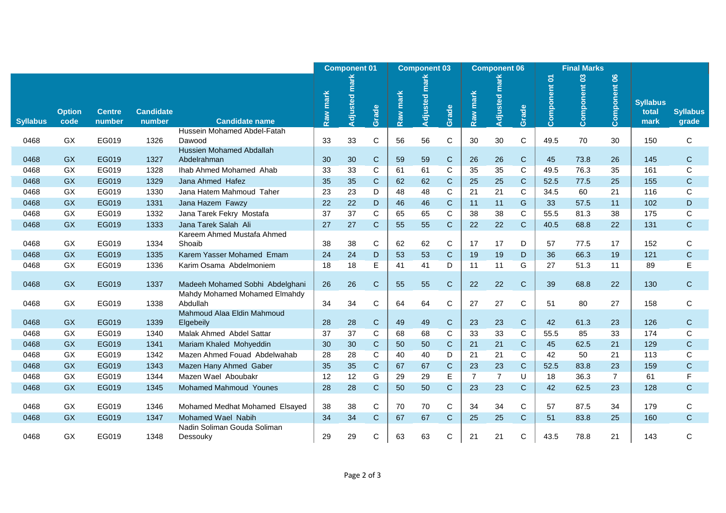|                 |                       |                         |                            |                                              | <b>Component 01</b> |                  |              |          | <b>Component 03</b> |              |                | <b>Component 06</b> |              |              | <b>Final Marks</b> |                |                                  |                          |
|-----------------|-----------------------|-------------------------|----------------------------|----------------------------------------------|---------------------|------------------|--------------|----------|---------------------|--------------|----------------|---------------------|--------------|--------------|--------------------|----------------|----------------------------------|--------------------------|
| <b>Syllabus</b> | <b>Option</b><br>code | <b>Centre</b><br>number | <b>Candidate</b><br>number | <b>Candidate name</b>                        | Raw mark            | mark<br>Adjusted | Grade        | Raw mark | Adjusted mark       | Grade        | Raw mark       | <b>Adjusted mar</b> | Grade        | Component 01 | Component 03       | Component 06   | <b>Syllabus</b><br>total<br>mark | <b>Syllabus</b><br>grade |
| 0468            | GX                    | EG019                   | 1326                       | <b>Hussein Mohamed Abdel-Fatah</b><br>Dawood | 33                  | 33               | $\mathsf C$  | 56       | 56                  | $\mathbf C$  | 30             | 30                  | $\mathbf C$  | 49.5         | 70                 | 30             | 150                              | $\mathbf C$              |
|                 |                       |                         |                            | Hussien Mohamed Abdallah                     |                     |                  |              |          |                     |              |                |                     |              |              |                    |                |                                  |                          |
| 0468            | <b>GX</b>             | EG019                   | 1327                       | Abdelrahman                                  | 30                  | 30               | $\mathbf C$  | 59       | 59                  | $\mathbf{C}$ | 26             | 26                  | $\mathbf C$  | 45           | 73.8               | 26             | 145                              | $\mathsf{C}$             |
| 0468            | GX                    | EG019                   | 1328                       | <b>Ihab Ahmed Mohamed Ahab</b>               | 33                  | 33               | C            | 61       | 61                  | $\mathbf C$  | 35             | 35                  | $\mathsf{C}$ | 49.5         | 76.3               | 35             | 161                              | $\mathbf C$              |
| 0468            | <b>GX</b>             | EG019                   | 1329                       | Jana Ahmed Hafez                             | 35                  | 35               | $\mathsf{C}$ | 62       | 62                  | $\mathsf C$  | 25             | 25                  | $\mathbf C$  | 52.5         | 77.5               | 25             | 155                              | $\mathbf C$              |
| 0468            | GX                    | EG019                   | 1330                       | Jana Hatem Mahmoud Taher                     | 23                  | 23               | D            | 48       | 48                  | С            | 21             | 21                  | C            | 34.5         | 60                 | 21             | 116                              | $\mathbf C$              |
| 0468            | <b>GX</b>             | EG019                   | 1331                       | Jana Hazem Fawzy                             | 22                  | 22               | D            | 46       | 46                  | $\mathbf{C}$ | 11             | 11                  | G            | 33           | 57.5               | 11             | 102                              | $\mathsf D$              |
| 0468            | GX                    | EG019                   | 1332                       | Jana Tarek Fekry Mostafa                     | 37                  | 37               | $\mathsf C$  | 65       | 65                  | C            | 38             | 38                  | $\mathbf C$  | 55.5         | 81.3               | 38             | 175                              | $\mathbf C$              |
| 0468            | <b>GX</b>             | EG019                   | 1333                       | Jana Tarek Salah Ali                         | 27                  | 27               | $\mathbf C$  | 55       | 55                  | $\mathsf C$  | 22             | 22                  | $\mathbf C$  | 40.5         | 68.8               | 22             | 131                              | $\mathsf C$              |
| 0468            | GX                    | EG019                   | 1334                       | Kareem Ahmed Mustafa Ahmed<br>Shoaib         | 38                  | 38               | $\mathsf C$  | 62       | 62                  | C            | 17             | 17                  | D            | 57           | 77.5               | 17             | 152                              | $\mathbf C$              |
| 0468            | <b>GX</b>             | EG019                   | 1335                       | Karem Yasser Mohamed Emam                    | 24                  | 24               | D            | 53       | 53                  | $\mathbf C$  | 19             | 19                  | D            | 36           | 66.3               | 19             | 121                              | $\mathbf C$              |
| 0468            | GX                    | EG019                   | 1336                       | Karim Osama Abdelmoniem                      | 18                  | 18               | E            | 41       | 41                  | D            | 11             | 11                  | G            | 27           | 51.3               | 11             | 89                               | E                        |
| 0468            | <b>GX</b>             | EG019                   | 1337                       | Madeeh Mohamed Sobhi Abdelghani              | 26                  | 26               | $\mathbf C$  | 55       | 55                  | C            | 22             | 22                  | $\mathbf C$  | 39           | 68.8               | 22             | 130                              | $\mathsf{C}$             |
| 0468            | GX                    | EG019                   | 1338                       | Mahdy Mohamed Mohamed Elmahdy<br>Abdullah    | 34                  | 34               | $\mathbf C$  | 64       | 64                  | $\mathbf C$  | 27             | 27                  | $\mathbf C$  | 51           | 80                 | 27             | 158                              | $\mathbf C$              |
| 0468            | <b>GX</b>             | EG019                   | 1339                       | Mahmoud Alaa Eldin Mahmoud<br>Elgebeily      | 28                  | 28               | $\mathsf{C}$ | 49       | 49                  | $\mathbf C$  | 23             | 23                  | $\mathbf C$  | 42           | 61.3               | 23             | 126                              | $\mathbf C$              |
| 0468            | GX                    | EG019                   | 1340                       | Malak Ahmed Abdel Sattar                     | 37                  | 37               | $\mathsf C$  | 68       | 68                  | $\mathbf C$  | 33             | 33                  | $\mathbf C$  | 55.5         | 85                 | 33             | 174                              | $\mathbf C$              |
| 0468            | <b>GX</b>             | EG019                   | 1341                       | Mariam Khaled Mohyeddin                      | 30                  | 30               | $\mathsf C$  | 50       | 50                  | $\mathsf{C}$ | 21             | 21                  | $\mathbf C$  | 45           | 62.5               | 21             | 129                              | $\mathbf C$              |
| 0468            | GX                    | EG019                   | 1342                       | Mazen Ahmed Fouad Abdelwahab                 | 28                  | 28               | C            | 40       | 40                  | D            | 21             | 21                  | $\mathsf{C}$ | 42           | 50                 | 21             | 113                              | $\mathbf C$              |
| 0468            | <b>GX</b>             | EG019                   | 1343                       | Mazen Hany Ahmed Gaber                       | 35                  | 35               | $\mathsf{C}$ | 67       | 67                  | $\mathsf C$  | 23             | 23                  | $\mathbf C$  | 52.5         | 83.8               | 23             | 159                              | $\mathsf C$              |
| 0468            | GX                    | EG019                   | 1344                       | Mazen Wael Aboubakr                          | 12                  | 12               | G            | 29       | 29                  | E            | $\overline{7}$ | $\overline{7}$      | U            | 18           | 36.3               | $\overline{7}$ | 61                               | F                        |
| 0468            | <b>GX</b>             | EG019                   | 1345                       | <b>Mohamed Mahmoud Younes</b>                | 28                  | 28               | $\mathsf{C}$ | 50       | 50                  | $\mathsf C$  | 23             | 23                  | $\mathbf C$  | 42           | 62.5               | 23             | 128                              | $\mathsf{C}$             |
| 0468            | GX                    | EG019                   | 1346                       | Mohamed Medhat Mohamed Elsayed               | 38                  | 38               | $\mathsf C$  | 70       | 70                  | C            | 34             | 34                  | $\mathbf C$  | 57           | 87.5               | 34             | 179                              | $\mathsf C$              |
| 0468            | <b>GX</b>             | EG019                   | 1347                       | Mohamed Wael Nabih                           | 34                  | 34               | $\mathsf{C}$ | 67       | 67                  | $\mathbf C$  | 25             | 25                  | $\mathsf{C}$ | 51           | 83.8               | 25             | 160                              | $\mathbf C$              |
| 0468            | GX                    | EG019                   | 1348                       | Nadin Soliman Gouda Soliman<br>Dessouky      | 29                  | 29               | $\mathsf C$  | 63       | 63                  | C            | 21             | 21                  | C            | 43.5         | 78.8               | 21             | 143                              | $\mathbf C$              |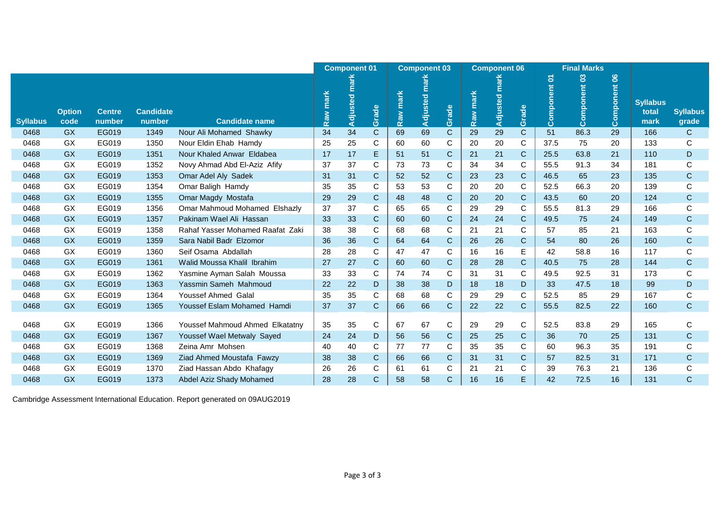|                 |                       |                         |                            |                                  | <b>Component 01</b> |               |             |          | <b>Component 03</b> |              |          | <b>Component 06</b> |              |              | <b>Final Marks</b>  |              |                                  |                          |
|-----------------|-----------------------|-------------------------|----------------------------|----------------------------------|---------------------|---------------|-------------|----------|---------------------|--------------|----------|---------------------|--------------|--------------|---------------------|--------------|----------------------------------|--------------------------|
|                 |                       |                         |                            |                                  |                     |               |             |          | marl                |              |          |                     |              |              |                     |              |                                  |                          |
| <b>Syllabus</b> | <b>Option</b><br>code | <b>Centre</b><br>number | <b>Candidate</b><br>number | <b>Candidate name</b>            | Raw mark            | Adjusted mark | Grade       | Raw mark | Adjusted            | Grade        | Raw mark | <b>Adjusted mar</b> | Grade        | Component 01 | <b>Component 03</b> | Component 06 | <b>Syllabus</b><br>total<br>mark | <b>Syllabus</b><br>grade |
| 0468            | <b>GX</b>             | EG019                   | 1349                       | Nour Ali Mohamed Shawky          | 34                  | 34            | $\mathsf C$ | 69       | 69                  | $\mathbf C$  | 29       | 29                  | $\mathbf C$  | 51           | 86.3                | 29           | 166                              | C                        |
| 0468            | GX                    | EG019                   | 1350                       | Nour Eldin Ehab Hamdy            | 25                  | 25            | С           | 60       | 60                  | С            | 20       | 20                  | C            | 37.5         | 75                  | 20           | 133                              | C                        |
| 0468            | <b>GX</b>             | EG019                   | 1351                       | Nour Khaled Anwar Eldabea        | 17                  | 17            | E           | 51       | 51                  | $\mathbf{C}$ | 21       | 21                  | $\mathsf{C}$ | 25.5         | 63.8                | 21           | 110                              | D                        |
| 0468            | GX                    | EG019                   | 1352                       | Novy Ahmad Abd El-Aziz Afify     | 37                  | 37            | С           | 73       | 73                  | С            | 34       | 34                  | C            | 55.5         | 91.3                | 34           | 181                              | C                        |
| 0468            | <b>GX</b>             | EG019                   | 1353                       | Omar Adel Aly Sadek              | 31                  | 31            | $\mathsf C$ | 52       | 52                  | $\mathsf{C}$ | 23       | 23                  | $\mathbf C$  | 46.5         | 65                  | 23           | 135                              | $\mathbf C$              |
| 0468            | GX                    | EG019                   | 1354                       | Omar Baligh Hamdy                | 35                  | 35            | С           | 53       | 53                  | С            | 20       | 20                  | C            | 52.5         | 66.3                | 20           | 139                              | С                        |
| 0468            | <b>GX</b>             | EG019                   | 1355                       | Omar Magdy Mostafa               | 29                  | 29            | $\mathsf C$ | 48       | 48                  | $\mathsf{C}$ | 20       | 20                  | $\mathsf{C}$ | 43.5         | 60                  | 20           | 124                              | $\mathbf C$              |
| 0468            | GX                    | EG019                   | 1356                       | Omar Mahmoud Mohamed Elshazly    | 37                  | 37            | С           | 65       | 65                  | С            | 29       | 29                  | C            | 55.5         | 81.3                | 29           | 166                              | C                        |
| 0468            | <b>GX</b>             | EG019                   | 1357                       | Pakinam Wael Ali Hassan          | 33                  | 33            | $\mathsf C$ | 60       | 60                  | $\mathsf{C}$ | 24       | 24                  | $\mathbf C$  | 49.5         | 75                  | 24           | 149                              | $\mathbf C$              |
| 0468            | GX                    | EG019                   | 1358                       | Rahaf Yasser Mohamed Raafat Zaki | 38                  | 38            | C           | 68       | 68                  | C            | 21       | 21                  | C            | 57           | 85                  | 21           | 163                              | $\mathbf C$              |
| 0468            | <b>GX</b>             | EG019                   | 1359                       | Sara Nabil Badr Elzomor          | 36                  | 36            | $\mathsf C$ | 64       | 64                  | $\mathbf C$  | 26       | 26                  | $\mathbf C$  | 54           | 80                  | 26           | 160                              | $\mathbf C$              |
| 0468            | GX                    | EG019                   | 1360                       | Seif Osama Abdallah              | 28                  | 28            | C           | 47       | 47                  | C            | 16       | 16                  | Е            | 42           | 58.8                | 16           | 117                              | $\mathbf C$              |
| 0468            | <b>GX</b>             | EG019                   | 1361                       | Walid Moussa Khalil Ibrahim      | 27                  | 27            | $\mathsf C$ | 60       | 60                  | $\mathbf C$  | 28       | 28                  | $\mathbf C$  | 40.5         | 75                  | 28           | 144                              | $\mathbf C$              |
| 0468            | GX                    | EG019                   | 1362                       | Yasmine Ayman Salah Moussa       | 33                  | 33            | C           | 74       | 74                  | C            | 31       | 31                  | $\mathsf{C}$ | 49.5         | 92.5                | 31           | 173                              | $\mathbf C$              |
| 0468            | <b>GX</b>             | EG019                   | 1363                       | Yassmin Sameh Mahmoud            | 22                  | 22            | D           | 38       | 38                  | D            | 18       | 18                  | D            | 33           | 47.5                | 18           | 99                               | $\mathsf D$              |
| 0468            | GX                    | EG019                   | 1364                       | Youssef Ahmed Galal              | 35                  | 35            | C           | 68       | 68                  | C            | 29       | 29                  | C            | 52.5         | 85                  | 29           | 167                              | $\mathbf C$              |
| 0468            | <b>GX</b>             | EG019                   | 1365                       | Youssef Eslam Mohamed Hamdi      | 37                  | 37            | $\mathsf C$ | 66       | 66                  | $\mathbf C$  | 22       | 22                  | $\mathsf{C}$ | 55.5         | 82.5                | 22           | 160                              | $\mathbf C$              |
| 0468            | GX                    | EG019                   | 1366                       | Youssef Mahmoud Ahmed Elkatatny  | 35                  | 35            | С           | 67       | 67                  | C            | 29       | 29                  | C            | 52.5         | 83.8                | 29           | 165                              | C                        |
| 0468            | <b>GX</b>             | EG019                   | 1367                       | Youssef Wael Metwaly Sayed       | 24                  | 24            | D           | 56       | 56                  | $\mathsf{C}$ | 25       | 25                  | $\mathbf C$  | 36           | 70                  | 25           | 131                              | $\mathbf C$              |
| 0468            | GX                    | EG019                   | 1368                       | Zeina Amr Mohsen                 | 40                  | 40            | С           | 77       | 77                  | С            | 35       | 35                  | C            | 60           | 96.3                | 35           | 191                              | $\mathbf C$              |
| 0468            | <b>GX</b>             | EG019                   | 1369                       | Ziad Ahmed Moustafa Fawzy        | 38                  | 38            | C           | 66       | 66                  | $\mathsf{C}$ | 31       | 31                  | $\mathbf C$  | 57           | 82.5                | 31           | 171                              | $\mathbf C$              |
| 0468            | GX                    | EG019                   | 1370                       | Ziad Hassan Abdo Khafagy         | 26                  | 26            | С           | 61       | 61                  | С            | 21       | 21                  | C            | 39           | 76.3                | 21           | 136                              | C                        |
| 0468            | GX                    | EG019                   | 1373                       | Abdel Aziz Shady Mohamed         | 28                  | 28            | C           | 58       | 58                  | $\mathsf{C}$ | 16       | 16                  | E            | 42           | 72.5                | 16           | 131                              | $\mathbf C$              |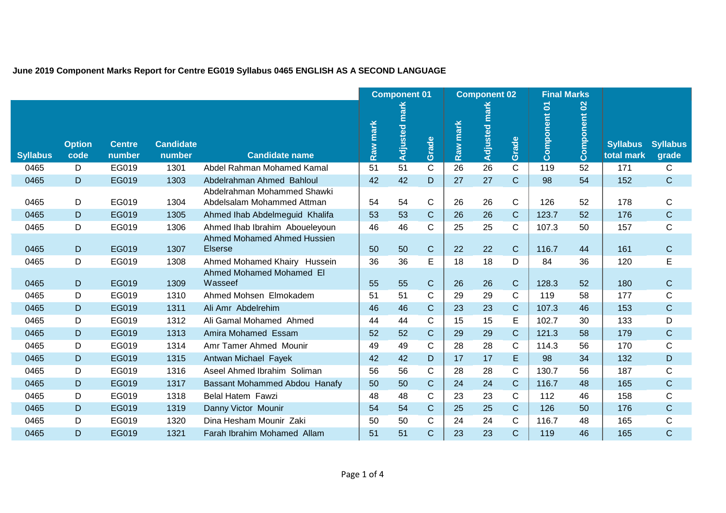|                 |                       |                         |                            |                                                           |          | <b>Component 01</b> |              |          | <b>Component 02</b> |              | <b>Final Marks</b> |                           |                               |                          |
|-----------------|-----------------------|-------------------------|----------------------------|-----------------------------------------------------------|----------|---------------------|--------------|----------|---------------------|--------------|--------------------|---------------------------|-------------------------------|--------------------------|
| <b>Syllabus</b> | <b>Option</b><br>code | <b>Centre</b><br>number | <b>Candidate</b><br>number | <b>Candidate name</b>                                     | Raw mark | mark<br>Adjusted    | Grade        | Raw mark | Adjusted mark       | Grade        | Component 01       | $\mathbf{S}$<br>Component | <b>Syllabus</b><br>total mark | <b>Syllabus</b><br>grade |
| 0465            | D                     | EG019                   | 1301                       | Abdel Rahman Mohamed Kamal                                | 51       | 51                  | $\mathsf{C}$ | 26       | 26                  | $\mathsf{C}$ | 119                | 52                        | 171                           | $\mathsf{C}$             |
| 0465            | D                     | EG019                   | 1303                       | Abdelrahman Ahmed Bahloul                                 | 42       | 42                  | D            | 27       | 27                  | $\mathsf{C}$ | 98                 | 54                        | 152                           | $\mathbf C$              |
| 0465            | D                     | EG019                   | 1304                       | Abdelrahman Mohammed Shawki<br>Abdelsalam Mohammed Attman | 54       | 54                  | C            | 26       | 26                  | $\mathsf{C}$ | 126                | 52                        | 178                           | $\mathsf{C}$             |
| 0465            | D                     | EG019                   | 1305                       | Ahmed Ihab Abdelmeguid Khalifa                            | 53       | 53                  | C            | 26       | 26                  | $\mathbf C$  | 123.7              | 52                        | 176                           | $\mathbf C$              |
| 0465            | D                     | EG019                   | 1306                       | Ahmed Ihab Ibrahim Aboueleyoun                            | 46       | 46                  | C            | 25       | 25                  | C            | 107.3              | 50                        | 157                           | $\mathbf C$              |
| 0465            | D                     | EG019                   | 1307                       | Ahmed Mohamed Ahmed Hussien<br><b>Elserse</b>             | 50       | 50                  | $\mathsf C$  | 22       | 22                  | $\mathsf{C}$ | 116.7              | 44                        | 161                           | $\mathsf C$              |
| 0465            | D                     | EG019                   | 1308                       | Ahmed Mohamed Khairy Hussein                              | 36       | 36                  | E            | 18       | 18                  | D            | 84                 | 36                        | 120                           | E                        |
| 0465            | D                     | EG019                   | 1309                       | Ahmed Mohamed Mohamed El<br>Wasseef                       | 55       | 55                  | $\mathbf C$  | 26       | 26                  | $\mathbf C$  | 128.3              | 52                        | 180                           | $\mathbf C$              |
| 0465            | D                     | EG019                   | 1310                       | Ahmed Mohsen Elmokadem                                    | 51       | 51                  | С            | 29       | 29                  | C            | 119                | 58                        | 177                           | C                        |
| 0465            | D                     | EG019                   | 1311                       | Ali Amr Abdelrehim                                        | 46       | 46                  | $\mathsf C$  | 23       | 23                  | $\mathbf C$  | 107.3              | 46                        | 153                           | $\mathsf C$              |
| 0465            | D                     | EG019                   | 1312                       | Ali Gamal Mohamed Ahmed                                   | 44       | 44                  | C            | 15       | 15                  | Е            | 102.7              | 30                        | 133                           | D                        |
| 0465            | D                     | EG019                   | 1313                       | Amira Mohamed Essam                                       | 52       | 52                  | $\mathsf C$  | 29       | 29                  | $\mathbf C$  | 121.3              | 58                        | 179                           | $\mathbf C$              |
| 0465            | D                     | EG019                   | 1314                       | Amr Tamer Ahmed Mounir                                    | 49       | 49                  | C            | 28       | 28                  | $\mathsf{C}$ | 114.3              | 56                        | 170                           | $\mathbf C$              |
| 0465            | D                     | EG019                   | 1315                       | Antwan Michael Fayek                                      | 42       | 42                  | D            | 17       | 17                  | E            | 98                 | 34                        | 132                           | D                        |
| 0465            | D                     | EG019                   | 1316                       | Aseel Ahmed Ibrahim Soliman                               | 56       | 56                  | С            | 28       | 28                  | C            | 130.7              | 56                        | 187                           | $\mathsf C$              |
| 0465            | $\mathsf D$           | EG019                   | 1317                       | Bassant Mohammed Abdou Hanafy                             | 50       | 50                  | $\mathsf C$  | 24       | 24                  | $\mathbf C$  | 116.7              | 48                        | 165                           | $\mathsf{C}$             |
| 0465            | D                     | EG019                   | 1318                       | Belal Hatem Fawzi                                         | 48       | 48                  | C            | 23       | 23                  | $\mathsf{C}$ | 112                | 46                        | 158                           | $\mathbf C$              |
| 0465            | D                     | EG019                   | 1319                       | Danny Victor Mounir                                       | 54       | 54                  | $\mathsf C$  | 25       | 25                  | $\mathbf{C}$ | 126                | 50                        | 176                           | $\mathbf C$              |
| 0465            | D                     | EG019                   | 1320                       | Dina Hesham Mounir Zaki                                   | 50       | 50                  | С            | 24       | 24                  | $\mathsf{C}$ | 116.7              | 48                        | 165                           | $\mathsf C$              |
| 0465            | D                     | EG019                   | 1321                       | Farah Ibrahim Mohamed Allam                               | 51       | 51                  | $\mathsf C$  | 23       | 23                  | $\mathsf{C}$ | 119                | 46                        | 165                           | $\mathsf C$              |

### **June 2019 Component Marks Report for Centre EG019 Syllabus 0465 ENGLISH AS A SECOND LANGUAGE**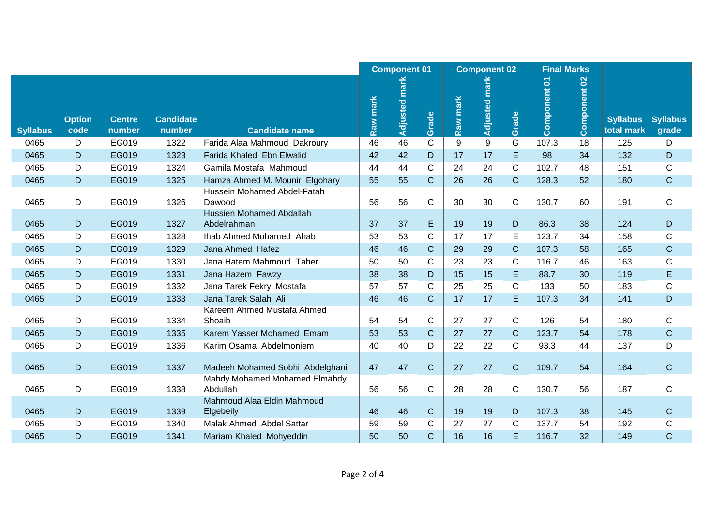|                 |                       |                         |                            |                                                | <b>Component 01</b> |          |              |          | <b>Component 02</b> |              | <b>Final Marks</b> |              |                               |                          |
|-----------------|-----------------------|-------------------------|----------------------------|------------------------------------------------|---------------------|----------|--------------|----------|---------------------|--------------|--------------------|--------------|-------------------------------|--------------------------|
|                 |                       |                         |                            |                                                |                     | mark     |              |          |                     |              |                    |              |                               |                          |
| <b>Syllabus</b> | <b>Option</b><br>code | <b>Centre</b><br>number | <b>Candidate</b><br>number | <b>Candidate name</b>                          | Raw mark            | Adjusted | Grade        | Raw mark | Adjusted mark       | Grade        | Component 01       | Component 02 | <b>Syllabus</b><br>total mark | <b>Syllabus</b><br>grade |
| 0465            | D                     | EG019                   | 1322                       | Farida Alaa Mahmoud Dakroury                   | 46                  | 46       | $\mathsf C$  | 9        | 9                   | G            | 107.3              | 18           | 125                           | D                        |
| 0465            | D                     | EG019                   | 1323                       | Farida Khaled Ebn Elwalid                      | 42                  | 42       | $\mathsf D$  | 17       | 17                  | E.           | 98                 | 34           | 132                           | D                        |
| 0465            | D                     | EG019                   | 1324                       | Gamila Mostafa Mahmoud                         | 44                  | 44       | $\mathsf{C}$ | 24       | 24                  | $\mathsf{C}$ | 102.7              | 48           | 151                           | $\mathsf C$              |
| 0465            | D                     | EG019                   | 1325                       | Hamza Ahmed M. Mounir Elgohary                 | 55                  | 55       | $\mathsf{C}$ | 26       | 26                  | $\mathsf{C}$ | 128.3              | 52           | 180                           | $\mathbf C$              |
| 0465            | D                     | EG019                   | 1326                       | Hussein Mohamed Abdel-Fatah<br>Dawood          | 56                  | 56       | C            | 30       | 30                  | $\mathsf{C}$ | 130.7              | 60           | 191                           | C                        |
| 0465            | D                     | EG019                   | 1327                       | <b>Hussien Mohamed Abdallah</b><br>Abdelrahman | 37                  | 37       | E            | 19       | 19                  | D            | 86.3               | 38           | 124                           | $\mathsf D$              |
| 0465            | D                     | EG019                   | 1328                       | Ihab Ahmed Mohamed Ahab                        | 53                  | 53       | C            | 17       | 17                  | E            | 123.7              | 34           | 158                           | C                        |
| 0465            | $\mathsf D$           | EG019                   | 1329                       | Jana Ahmed Hafez                               | 46                  | 46       | $\mathbf C$  | 29       | 29                  | $\mathsf{C}$ | 107.3              | 58           | 165                           | $\mathsf C$              |
| 0465            | D                     | EG019                   | 1330                       | Jana Hatem Mahmoud Taher                       | 50                  | 50       | C            | 23       | 23                  | C            | 116.7              | 46           | 163                           | $\mathsf C$              |
| 0465            | $\mathsf{D}$          | EG019                   | 1331                       | Jana Hazem Fawzy                               | 38                  | 38       | $\mathsf{D}$ | 15       | 15                  | E            | 88.7               | 30           | 119                           | E                        |
| 0465            | D                     | EG019                   | 1332                       | Jana Tarek Fekry Mostafa                       | 57                  | 57       | C            | 25       | 25                  | C            | 133                | 50           | 183                           | $\mathsf C$              |
| 0465            | D                     | EG019                   | 1333                       | Jana Tarek Salah Ali                           | 46                  | 46       | $\mathbf C$  | 17       | 17                  | E.           | 107.3              | 34           | 141                           | D                        |
| 0465            | D                     | EG019                   | 1334                       | Kareem Ahmed Mustafa Ahmed<br>Shoaib           | 54                  | 54       | $\mathsf{C}$ | 27       | 27                  | $\mathsf{C}$ | 126                | 54           | 180                           | $\mathsf C$              |
| 0465            | D                     | EG019                   | 1335                       | Karem Yasser Mohamed Emam                      | 53                  | 53       | $\mathbf C$  | 27       | 27                  | $\mathsf{C}$ | 123.7              | 54           | 178                           | $\mathbf C$              |
| 0465            | D                     | EG019                   | 1336                       | Karim Osama Abdelmoniem                        | 40                  | 40       | D            | 22       | 22                  | C            | 93.3               | 44           | 137                           | D                        |
| 0465            | D                     | EG019                   | 1337                       | Madeeh Mohamed Sobhi Abdelghani                | 47                  | 47       | $\mathbf C$  | 27       | 27                  | $\mathbf C$  | 109.7              | 54           | 164                           | $\mathbf C$              |
| 0465            | D                     | EG019                   | 1338                       | Mahdy Mohamed Mohamed Elmahdy<br>Abdullah      | 56                  | 56       | $\mathsf{C}$ | 28       | 28                  | C            | 130.7              | 56           | 187                           | C                        |
| 0465            | D                     | EG019                   | 1339                       | Mahmoud Alaa Eldin Mahmoud<br>Elgebeily        | 46                  | 46       | $\mathbf C$  | 19       | 19                  | D            | 107.3              | 38           | 145                           | C                        |
| 0465            | D                     | EG019                   | 1340                       | Malak Ahmed Abdel Sattar                       | 59                  | 59       | $\mathsf C$  | 27       | 27                  | $\mathsf{C}$ | 137.7              | 54           | 192                           | $\mathsf{C}$             |
| 0465            | $\mathsf D$           | EG019                   | 1341                       | Mariam Khaled Mohyeddin                        | 50                  | 50       | C            | 16       | 16                  | E            | 116.7              | 32           | 149                           | $\mathsf{C}$             |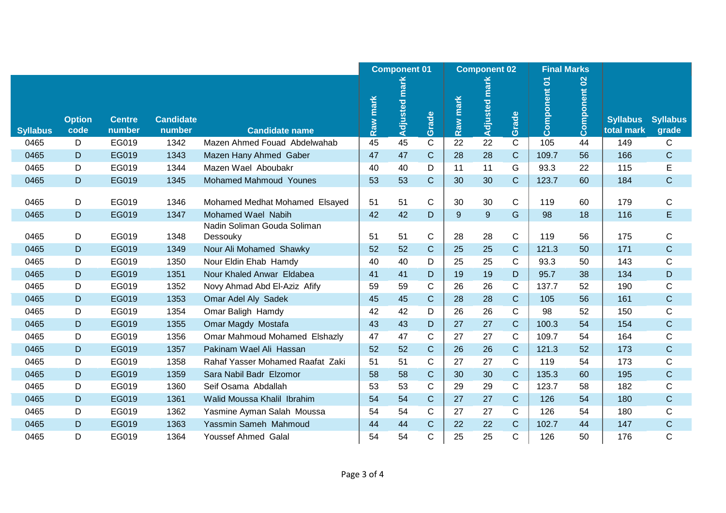|                 |                       |                         |                            |                                         | <b>Component 01</b> |          |              |          | <b>Component 02</b> |               | <b>Final Marks</b> |              |                               |                          |
|-----------------|-----------------------|-------------------------|----------------------------|-----------------------------------------|---------------------|----------|--------------|----------|---------------------|---------------|--------------------|--------------|-------------------------------|--------------------------|
|                 |                       |                         |                            |                                         |                     | mark     |              |          |                     |               |                    |              |                               |                          |
| <b>Syllabus</b> | <b>Option</b><br>code | <b>Centre</b><br>number | <b>Candidate</b><br>number | <b>Candidate name</b>                   | Raw mark            | Adjusted | Grade        | Raw mark | Adjusted mark       | Grade         | Component 01       | Component 02 | <b>Syllabus</b><br>total mark | <b>Syllabus</b><br>grade |
| 0465            | D                     | EG019                   | 1342                       | Mazen Ahmed Fouad Abdelwahab            | 45                  | 45       | $\mathsf C$  | 22       | 22                  | $\mathsf{C}$  | 105                | 44           | 149                           | С                        |
| 0465            | D                     | EG019                   | 1343                       | Mazen Hany Ahmed Gaber                  | 47                  | 47       | $\mathsf{C}$ | 28       | 28                  | $\mathbf C$   | 109.7              | 56           | 166                           | $\mathsf C$              |
| 0465            | D                     | EG019                   | 1344                       | Mazen Wael Aboubakr                     | 40                  | 40       | D            | 11       | 11                  | G             | 93.3               | 22           | 115                           | E                        |
| 0465            | $\mathsf{D}$          | EG019                   | 1345                       | <b>Mohamed Mahmoud Younes</b>           | 53                  | 53       | $\mathsf C$  | 30       | 30                  | $\mathbf C$   | 123.7              | 60           | 184                           | $\mathsf C$              |
| 0465            | D                     | EG019                   | 1346                       | Mohamed Medhat Mohamed Elsayed          | 51                  | 51       | C            | 30       | 30                  | $\mathsf{C}$  | 119                | 60           | 179                           | С                        |
| 0465            | $\mathsf D$           | EG019                   | 1347                       | Mohamed Wael Nabih                      | 42                  | 42       | $\mathsf D$  | 9        | $\boldsymbol{9}$    | G             | 98                 | 18           | 116                           | E                        |
| 0465            | D                     | EG019                   | 1348                       | Nadin Soliman Gouda Soliman<br>Dessouky | 51                  | 51       | C            | 28       | 28                  | $\mathsf{C}$  | 119                | 56           | 175                           | С                        |
| 0465            | $\mathsf{D}$          | EG019                   | 1349                       | Nour Ali Mohamed Shawky                 | 52                  | 52       | $\mathsf{C}$ | 25       | 25                  | $\mathbf C$   | 121.3              | 50           | 171                           | $\mathsf C$              |
| 0465            | D                     | EG019                   | 1350                       | Nour Eldin Ehab Hamdy                   | 40                  | 40       | D            | 25       | 25                  | $\mathsf{C}$  | 93.3               | 50           | 143                           | C                        |
| 0465            | $\mathsf{D}$          | EG019                   | 1351                       | Nour Khaled Anwar Eldabea               | 41                  | 41       | D            | 19       | 19                  | D             | 95.7               | 38           | 134                           | D                        |
| 0465            | D                     | EG019                   | 1352                       | Novy Ahmad Abd El-Aziz Afify            | 59                  | 59       | C            | 26       | 26                  | $\mathsf{C}$  | 137.7              | 52           | 190                           | C                        |
| 0465            | D                     | EG019                   | 1353                       | Omar Adel Aly Sadek                     | 45                  | 45       | $\mathsf C$  | 28       | 28                  | C             | 105                | 56           | 161                           | $\mathsf C$              |
| 0465            | D                     | EG019                   | 1354                       | Omar Baligh Hamdy                       | 42                  | 42       | D            | 26       | 26                  | $\mathsf{C}$  | 98                 | 52           | 150                           | $\mathsf C$              |
| 0465            | D                     | EG019                   | 1355                       | Omar Magdy Mostafa                      | 43                  | 43       | D            | 27       | 27                  | $\mathsf{C}$  | 100.3              | 54           | 154                           | $\mathsf C$              |
| 0465            | D                     | EG019                   | 1356                       | Omar Mahmoud Mohamed Elshazly           | 47                  | 47       | $\mathsf{C}$ | 27       | 27                  | $\mathsf{C}$  | 109.7              | 54           | 164                           | $\mathsf C$              |
| 0465            | $\mathsf{D}$          | EG019                   | 1357                       | Pakinam Wael Ali Hassan                 | 52                  | 52       | $\mathsf C$  | 26       | 26                  | $\mathsf{C}$  | 121.3              | 52           | 173                           | $\mathsf C$              |
| 0465            | D                     | EG019                   | 1358                       | Rahaf Yasser Mohamed Raafat Zaki        | 51                  | 51       | C            | 27       | 27                  | $\mathsf{C}$  | 119                | 54           | 173                           | C                        |
| 0465            | D                     | EG019                   | 1359                       | Sara Nabil Badr Elzomor                 | 58                  | 58       | $\mathbf C$  | 30       | 30                  | $\mathcal{C}$ | 135.3              | 60           | 195                           | $\mathsf C$              |
| 0465            | D                     | EG019                   | 1360                       | Seif Osama Abdallah                     | 53                  | 53       | C            | 29       | 29                  | $\mathsf{C}$  | 123.7              | 58           | 182                           | C                        |
| 0465            | D                     | EG019                   | 1361                       | Walid Moussa Khalil Ibrahim             | 54                  | 54       | $\mathsf C$  | 27       | 27                  | $\mathbf C$   | 126                | 54           | 180                           | $\mathsf C$              |
| 0465            | D                     | EG019                   | 1362                       | Yasmine Ayman Salah Moussa              | 54                  | 54       | $\mathsf{C}$ | 27       | 27                  | $\mathsf{C}$  | 126                | 54           | 180                           | C                        |
| 0465            | D                     | EG019                   | 1363                       | Yassmin Sameh Mahmoud                   | 44                  | 44       | $\mathsf{C}$ | 22       | 22                  | $\mathsf{C}$  | 102.7              | 44           | 147                           | $\mathsf C$              |
| 0465            | D                     | EG019                   | 1364                       | <b>Youssef Ahmed Galal</b>              | 54                  | 54       | $\mathsf C$  | 25       | 25                  | $\mathsf{C}$  | 126                | 50           | 176                           | $\mathsf C$              |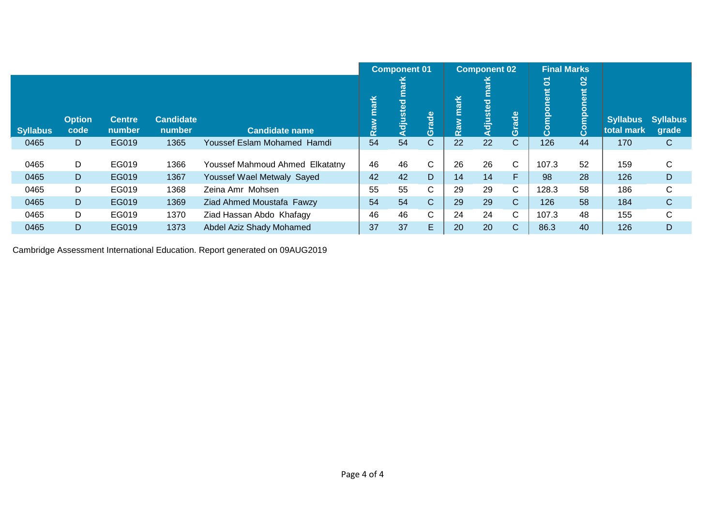|                 |                       |                         |                            |                                 | <b>Component 01</b> |          |       |             | <b>Component 02</b> |              | <b>Final Marks</b> |                           |                               |                          |
|-----------------|-----------------------|-------------------------|----------------------------|---------------------------------|---------------------|----------|-------|-------------|---------------------|--------------|--------------------|---------------------------|-------------------------------|--------------------------|
| <b>Syllabus</b> | <b>Option</b><br>code | <b>Centre</b><br>number | <b>Candidate</b><br>number | <b>Candidate name</b>           | mark<br>Raw         | Adjusted | Grade | mark<br>Raw | Adjusted            | Grade        | 5<br>Component     | $\mathbf{S}$<br>Component | <b>Syllabus</b><br>total mark | <b>Syllabus</b><br>grade |
| 0465            | D                     | EG019                   | 1365                       | Youssef Eslam Mohamed Hamdi     | 54                  | 54       | С     | 22          | 22                  | $\mathsf{C}$ | 126                | 44                        | 170                           | C                        |
| 0465            | D                     | EG019                   | 1366                       | Youssef Mahmoud Ahmed Elkatatny | 46                  | 46       | C     | 26          | 26                  | $\mathsf{C}$ | 107.3              | 52                        | 159                           | С                        |
| 0465            | D                     | EG019                   | 1367                       | Youssef Wael Metwaly Sayed      | 42                  | 42       | D     | 14          | 14                  | F            | 98                 | 28                        | 126                           | D                        |
| 0465            | D                     | EG019                   | 1368                       | Zeina Amr Mohsen                | 55                  | 55       | C     | 29          | 29                  | C.           | 128.3              | 58                        | 186                           | С                        |
| 0465            | D                     | EG019                   | 1369                       | Ziad Ahmed Moustafa Fawzy       | 54                  | 54       | С     | 29          | 29                  | $\mathsf{C}$ | 126                | 58                        | 184                           | $\mathsf{C}$             |
| 0465            | D                     | EG019                   | 1370                       | Ziad Hassan Abdo Khafagy        | 46                  | 46       | С     | 24          | 24                  | C.           | 107.3              | 48                        | 155                           | С                        |
| 0465            | D                     | EG019                   | 1373                       | Abdel Aziz Shady Mohamed        | 37                  | 37       | E.    | 20          | 20                  | $\mathbf{C}$ | 86.3               | 40                        | 126                           | D                        |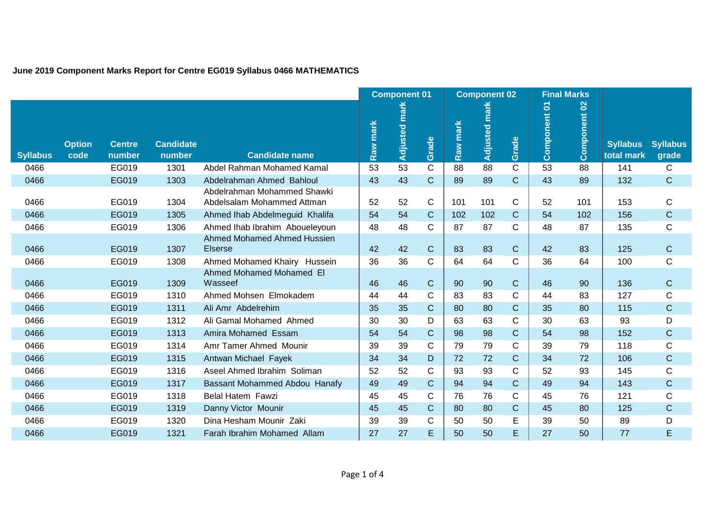|                 |                       |                         |                            |                                                           |          | <b>Component 01</b> |              |             | <b>Component 02</b> |              |              | <b>Final Marks</b> |                               |                          |
|-----------------|-----------------------|-------------------------|----------------------------|-----------------------------------------------------------|----------|---------------------|--------------|-------------|---------------------|--------------|--------------|--------------------|-------------------------------|--------------------------|
| <b>Syllabus</b> | <b>Option</b><br>code | <b>Centre</b><br>number | <b>Candidate</b><br>number | <b>Candidate name</b>                                     | Raw mark | mark<br>Adjusted    | Grade        | mark<br>Raw | Adjusted mark       | Grade        | Component 01 | Component 02       | <b>Syllabus</b><br>total mark | <b>Syllabus</b><br>grade |
| 0466            |                       | EG019                   | 1301                       | Abdel Rahman Mohamed Kamal                                | 53       | 53                  | $\mathbf C$  | 88          | 88                  | $\mathsf{C}$ | 53           | 88                 | 141                           | C                        |
| 0466            |                       | EG019                   | 1303                       | Abdelrahman Ahmed Bahloul                                 | 43       | 43                  | $\mathsf C$  | 89          | 89                  | $\mathbf C$  | 43           | 89                 | 132                           | $\mathsf C$              |
| 0466            |                       | EG019                   | 1304                       | Abdelrahman Mohammed Shawki<br>Abdelsalam Mohammed Attman | 52       | 52                  | $\mathsf C$  | 101         | 101                 | $\mathsf{C}$ | 52           | 101                | 153                           | C                        |
| 0466            |                       | EG019                   | 1305                       | Ahmed Ihab Abdelmeguid Khalifa                            | 54       | 54                  | $\mathbf C$  | 102         | 102                 | $\mathsf{C}$ | 54           | 102                | 156                           | $\mathsf{C}$             |
| 0466            |                       | EG019                   | 1306                       | Ahmed Ihab Ibrahim Aboueleyoun                            | 48       | 48                  | C            | 87          | 87                  | $\mathsf{C}$ | 48           | 87                 | 135                           | $\mathsf C$              |
| 0466            |                       | EG019                   | 1307                       | Ahmed Mohamed Ahmed Hussien<br><b>Elserse</b>             | 42       | 42                  | $\mathbf C$  | 83          | 83                  | $\mathbf C$  | 42           | 83                 | 125                           | $\mathbf C$              |
| 0466            |                       | EG019                   | 1308                       | Ahmed Mohamed Khairy Hussein                              | 36       | 36                  | C            | 64          | 64                  | C            | 36           | 64                 | 100                           | $\mathsf C$              |
| 0466            |                       | EG019                   | 1309                       | Ahmed Mohamed Mohamed El<br>Wasseef                       | 46       | 46                  | $\mathsf{C}$ | 90          | 90                  | $\mathsf{C}$ | 46           | 90                 | 136                           | $\mathbf C$              |
| 0466            |                       | EG019                   | 1310                       | Ahmed Mohsen Elmokadem                                    | 44       | 44                  | C            | 83          | 83                  | C            | 44           | 83                 | 127                           | $\mathsf C$              |
| 0466            |                       | EG019                   | 1311                       | Ali Amr Abdelrehim                                        | 35       | 35                  | $\mathsf{C}$ | 80          | 80                  | $\mathbf C$  | 35           | 80                 | 115                           | $\mathbf C$              |
| 0466            |                       | EG019                   | 1312                       | Ali Gamal Mohamed Ahmed                                   | 30       | 30                  | D            | 63          | 63                  | $\mathsf{C}$ | 30           | 63                 | 93                            | D                        |
| 0466            |                       | EG019                   | 1313                       | Amira Mohamed Essam                                       | 54       | 54                  | $\mathsf{C}$ | 98          | 98                  | $\mathsf{C}$ | 54           | 98                 | 152                           | $\mathsf{C}$             |
| 0466            |                       | EG019                   | 1314                       | Amr Tamer Ahmed Mounir                                    | 39       | 39                  | $\mathsf C$  | 79          | 79                  | $\mathsf{C}$ | 39           | 79                 | 118                           | $\mathsf C$              |
| 0466            |                       | EG019                   | 1315                       | Antwan Michael Fayek                                      | 34       | 34                  | D            | 72          | 72                  | $\mathsf{C}$ | 34           | 72                 | 106                           | $\mathbf C$              |
| 0466            |                       | EG019                   | 1316                       | Aseel Ahmed Ibrahim Soliman                               | 52       | 52                  | C            | 93          | 93                  | $\mathsf{C}$ | 52           | 93                 | 145                           | $\mathsf C$              |
| 0466            |                       | EG019                   | 1317                       | Bassant Mohammed Abdou Hanafy                             | 49       | 49                  | $\mathbf C$  | 94          | 94                  | $\mathsf{C}$ | 49           | 94                 | 143                           | $\mathsf C$              |
| 0466            |                       | EG019                   | 1318                       | Belal Hatem Fawzi                                         | 45       | 45                  | $\mathsf C$  | 76          | 76                  | $\mathsf{C}$ | 45           | 76                 | 121                           | $\mathsf C$              |
| 0466            |                       | EG019                   | 1319                       | Danny Victor Mounir                                       | 45       | 45                  | $\mathbf C$  | 80          | 80                  | $\mathsf{C}$ | 45           | 80                 | 125                           | $\mathsf C$              |
| 0466            |                       | EG019                   | 1320                       | Dina Hesham Mounir Zaki                                   | 39       | 39                  | С            | 50          | 50                  | E            | 39           | 50                 | 89                            | D                        |
| 0466            |                       | EG019                   | 1321                       | Farah Ibrahim Mohamed Allam                               | 27       | 27                  | E            | 50          | 50                  | E            | 27           | 50                 | 77                            | E                        |

## **June 2019 Component Marks Report for Centre EG019 Syllabus 0466 MATHEMATICS**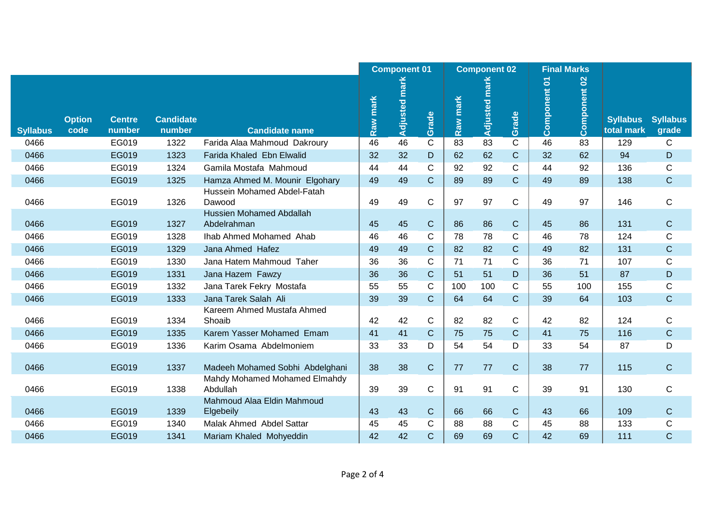|                 |               |               |                  |                                           |          | <b>Component 01</b> |              |          | <b>Component 02</b> |              |              | <b>Final Marks</b> |                 |                 |
|-----------------|---------------|---------------|------------------|-------------------------------------------|----------|---------------------|--------------|----------|---------------------|--------------|--------------|--------------------|-----------------|-----------------|
|                 |               |               |                  |                                           |          | mark                |              |          |                     |              |              |                    |                 |                 |
|                 |               |               |                  |                                           |          |                     |              |          | Adjusted mark       |              | Component 01 | Component 02       |                 |                 |
|                 | <b>Option</b> | <b>Centre</b> | <b>Candidate</b> |                                           | Raw mark | Adjusted            | Grade        | Raw mark |                     | Grade        |              |                    | <b>Syllabus</b> | <b>Syllabus</b> |
| <b>Syllabus</b> | code          | number        | number           | <b>Candidate name</b>                     |          |                     |              |          |                     |              |              |                    | total mark      | grade           |
| 0466            |               | EG019         | 1322             | Farida Alaa Mahmoud Dakroury              | 46       | 46                  | $\mathsf C$  | 83       | 83                  | $\mathsf{C}$ | 46           | 83                 | 129             | C               |
| 0466            |               | EG019         | 1323             | Farida Khaled Ebn Elwalid                 | 32       | 32                  | D            | 62       | 62                  | $\mathsf{C}$ | 32           | 62                 | 94              | D               |
| 0466            |               | EG019         | 1324             | Gamila Mostafa Mahmoud                    | 44       | 44                  | $\mathsf C$  | 92       | 92                  | C            | 44           | 92                 | 136             | C               |
| 0466            |               | EG019         | 1325             | Hamza Ahmed M. Mounir Elgohary            | 49       | 49                  | $\mathbf C$  | 89       | 89                  | $\mathsf{C}$ | 49           | 89                 | 138             | $\mathsf C$     |
| 0466            |               | EG019         | 1326             | Hussein Mohamed Abdel-Fatah<br>Dawood     | 49       | 49                  | $\mathsf C$  | 97       | 97                  | C            | 49           | 97                 | 146             | С               |
|                 |               |               |                  | Hussien Mohamed Abdallah                  |          |                     |              |          |                     |              |              |                    |                 |                 |
| 0466            |               | EG019         | 1327             | Abdelrahman                               | 45       | 45                  | $\mathbf C$  | 86       | 86                  | $\mathsf{C}$ | 45           | 86                 | 131             | $\mathsf C$     |
| 0466            |               | EG019         | 1328             | Ihab Ahmed Mohamed Ahab                   | 46       | 46                  | $\mathsf C$  | 78       | 78                  | C            | 46           | 78                 | 124             | C               |
| 0466            |               | EG019         | 1329             | Jana Ahmed Hafez                          | 49       | 49                  | $\mathsf{C}$ | 82       | 82                  | $\mathsf{C}$ | 49           | 82                 | 131             | C               |
| 0466            |               | EG019         | 1330             | Jana Hatem Mahmoud Taher                  | 36       | 36                  | $\mathsf{C}$ | 71       | 71                  | $\mathsf{C}$ | 36           | 71                 | 107             | C               |
| 0466            |               | EG019         | 1331             | Jana Hazem Fawzy                          | 36       | 36                  | $\mathbf C$  | 51       | 51                  | D            | 36           | 51                 | 87              | D               |
| 0466            |               | EG019         | 1332             | Jana Tarek Fekry Mostafa                  | 55       | 55                  | C            | 100      | 100                 | C            | 55           | 100                | 155             | $\mathsf C$     |
| 0466            |               | EG019         | 1333             | Jana Tarek Salah Ali                      | 39       | 39                  | $\mathsf{C}$ | 64       | 64                  | $\mathsf{C}$ | 39           | 64                 | 103             | $\mathsf{C}$    |
|                 |               |               |                  | Kareem Ahmed Mustafa Ahmed                |          |                     |              |          |                     |              |              |                    |                 |                 |
| 0466            |               | EG019         | 1334             | Shoaib                                    | 42       | 42                  | $\mathsf{C}$ | 82       | 82                  | C            | 42           | 82                 | 124             | С               |
| 0466            |               | EG019         | 1335             | Karem Yasser Mohamed Emam                 | 41       | 41                  | $\mathbf C$  | 75       | 75                  | $\mathsf{C}$ | 41           | 75                 | 116             | C               |
| 0466            |               | EG019         | 1336             | Karim Osama Abdelmoniem                   | 33       | 33                  | D            | 54       | 54                  | D            | 33           | 54                 | 87              | D               |
| 0466            |               | EG019         | 1337             | Madeeh Mohamed Sobhi Abdelghani           | 38       | 38                  | $\mathsf{C}$ | 77       | 77                  | $\mathbf C$  | 38           | 77                 | 115             | $\mathbf C$     |
|                 |               | EG019         | 1338             | Mahdy Mohamed Mohamed Elmahdy<br>Abdullah | 39       | 39                  |              |          | 91                  |              | 39           | 91                 | 130             |                 |
| 0466            |               |               |                  | Mahmoud Alaa Eldin Mahmoud                |          |                     | $\mathsf{C}$ | 91       |                     | C            |              |                    |                 | С               |
| 0466            |               | EG019         | 1339             | Elgebeily                                 | 43       | 43                  | $\mathbf C$  | 66       | 66                  | $\mathbf C$  | 43           | 66                 | 109             | $\mathsf C$     |
| 0466            |               | EG019         | 1340             | Malak Ahmed Abdel Sattar                  | 45       | 45                  | C            | 88       | 88                  | C            | 45           | 88                 | 133             | C               |
| 0466            |               | EG019         | 1341             | Mariam Khaled Mohyeddin                   | 42       | 42                  | $\mathsf{C}$ | 69       | 69                  | $\mathsf{C}$ | 42           | 69                 | 111             | $\mathsf C$     |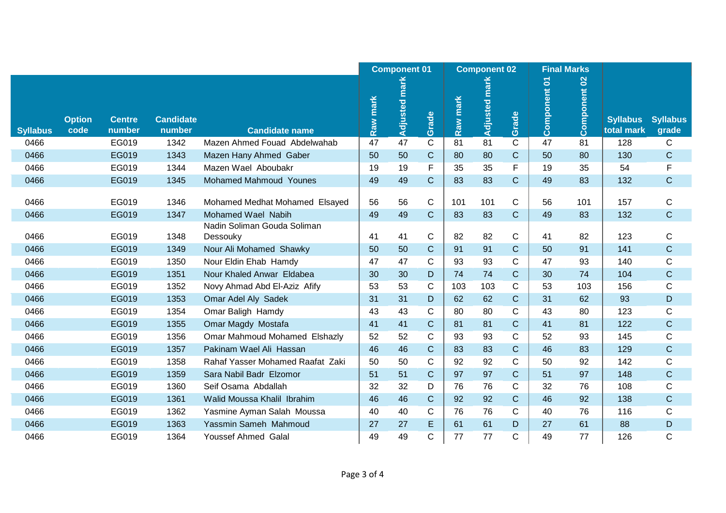|                 |               |               |                  |                                  | <b>Component 01</b> |                      |              |          | <b>Component 02</b> |              |                                                                                                                                                                                                                                                                                                                                                                                                                                                                       | <b>Final Marks</b>                 |                 |                 |
|-----------------|---------------|---------------|------------------|----------------------------------|---------------------|----------------------|--------------|----------|---------------------|--------------|-----------------------------------------------------------------------------------------------------------------------------------------------------------------------------------------------------------------------------------------------------------------------------------------------------------------------------------------------------------------------------------------------------------------------------------------------------------------------|------------------------------------|-----------------|-----------------|
|                 |               |               |                  |                                  | Raw mark            | <b>Adjusted mark</b> |              | Raw mark | Adjusted mark       |              | $\mathsf{S}% _{T}=\mathsf{S}_{T}\!\left( a,b\right) ,\ \mathsf{S}_{T}=\mathsf{S}_{T}\!\left( a,b\right) ,\ \mathsf{S}_{T}=\mathsf{S}_{T}\!\left( a,b\right) ,\ \mathsf{S}_{T}=\mathsf{S}_{T}\!\left( a,b\right) ,\ \mathsf{S}_{T}=\mathsf{S}_{T}\!\left( a,b\right) ,\ \mathsf{S}_{T}=\mathsf{S}_{T}\!\left( a,b\right) ,\ \mathsf{S}_{T}=\mathsf{S}_{T}\!\left( a,b\right) ,\ \mathsf{S}_{T}=\mathsf{S}_{T}\!\left( a,b\right) ,\ \mathsf{S}_{T}=\math$<br>Component | $\mathbf{S}^{\prime}$<br>Component |                 |                 |
|                 | <b>Option</b> | <b>Centre</b> | <b>Candidate</b> |                                  |                     |                      | Grade        |          |                     | Grade        |                                                                                                                                                                                                                                                                                                                                                                                                                                                                       |                                    | <b>Syllabus</b> | <b>Syllabus</b> |
| <b>Syllabus</b> | code          | number        | number           | <b>Candidate name</b>            |                     |                      |              |          |                     |              |                                                                                                                                                                                                                                                                                                                                                                                                                                                                       |                                    | total mark      | grade           |
| 0466            |               | EG019         | 1342             | Mazen Ahmed Fouad Abdelwahab     | 47                  | 47                   | $\mathsf{C}$ | 81       | 81                  | C            | 47                                                                                                                                                                                                                                                                                                                                                                                                                                                                    | 81                                 | 128             | С               |
| 0466            |               | EG019         | 1343             | Mazen Hany Ahmed Gaber           | 50                  | 50                   | $\mathbf C$  | 80       | 80                  | $\mathsf C$  | 50                                                                                                                                                                                                                                                                                                                                                                                                                                                                    | 80                                 | 130             | $\mathsf{C}$    |
| 0466            |               | EG019         | 1344             | Mazen Wael Aboubakr              | 19                  | 19                   | F            | 35       | 35                  | F            | 19                                                                                                                                                                                                                                                                                                                                                                                                                                                                    | 35                                 | 54              | F               |
| 0466            |               | EG019         | 1345             | <b>Mohamed Mahmoud Younes</b>    | 49                  | 49                   | $\mathsf{C}$ | 83       | 83                  | $\mathsf C$  | 49                                                                                                                                                                                                                                                                                                                                                                                                                                                                    | 83                                 | 132             | $\mathbf C$     |
| 0466            |               | EG019         | 1346             | Mohamed Medhat Mohamed Elsayed   | 56                  | 56                   | $\mathsf C$  | 101      | 101                 | $\mathsf{C}$ | 56                                                                                                                                                                                                                                                                                                                                                                                                                                                                    | 101                                | 157             | С               |
| 0466            |               | EG019         | 1347             | Mohamed Wael Nabih               | 49                  | 49                   | $\mathbf C$  | 83       | 83                  | C            | 49                                                                                                                                                                                                                                                                                                                                                                                                                                                                    | 83                                 | 132             | $\mathsf C$     |
|                 |               |               |                  | Nadin Soliman Gouda Soliman      |                     |                      |              |          |                     |              |                                                                                                                                                                                                                                                                                                                                                                                                                                                                       |                                    |                 |                 |
| 0466            |               | EG019         | 1348             | Dessouky                         | 41                  | 41                   | $\mathsf C$  | 82       | 82                  | $\mathsf{C}$ | 41                                                                                                                                                                                                                                                                                                                                                                                                                                                                    | 82                                 | 123             | C               |
| 0466            |               | EG019         | 1349             | Nour Ali Mohamed Shawky          | 50                  | 50                   | $\mathbf C$  | 91       | 91                  | C            | 50                                                                                                                                                                                                                                                                                                                                                                                                                                                                    | 91                                 | 141             | $\mathbf C$     |
| 0466            |               | EG019         | 1350             | Nour Eldin Ehab Hamdy            | 47                  | 47                   | $\mathsf{C}$ | 93       | 93                  | $\mathsf{C}$ | 47                                                                                                                                                                                                                                                                                                                                                                                                                                                                    | 93                                 | 140             | C               |
| 0466            |               | EG019         | 1351             | Nour Khaled Anwar Eldabea        | 30                  | 30                   | D            | 74       | 74                  | $\mathsf{C}$ | 30                                                                                                                                                                                                                                                                                                                                                                                                                                                                    | 74                                 | 104             | $\mathsf{C}$    |
| 0466            |               | EG019         | 1352             | Novy Ahmad Abd El-Aziz Afify     | 53                  | 53                   | C            | 103      | 103                 | C            | 53                                                                                                                                                                                                                                                                                                                                                                                                                                                                    | 103                                | 156             | C               |
| 0466            |               | EG019         | 1353             | Omar Adel Aly Sadek              | 31                  | 31                   | D            | 62       | 62                  | $\mathsf{C}$ | 31                                                                                                                                                                                                                                                                                                                                                                                                                                                                    | 62                                 | 93              | D               |
| 0466            |               | EG019         | 1354             | Omar Baligh Hamdy                | 43                  | 43                   | $\mathsf{C}$ | 80       | 80                  | C            | 43                                                                                                                                                                                                                                                                                                                                                                                                                                                                    | 80                                 | 123             | C               |
| 0466            |               | EG019         | 1355             | Omar Magdy Mostafa               | 41                  | 41                   | $\mathbf C$  | 81       | 81                  | $\mathsf C$  | 41                                                                                                                                                                                                                                                                                                                                                                                                                                                                    | 81                                 | 122             | $\mathsf C$     |
| 0466            |               | EG019         | 1356             | Omar Mahmoud Mohamed Elshazly    | 52                  | 52                   | $\mathsf C$  | 93       | 93                  | C            | 52                                                                                                                                                                                                                                                                                                                                                                                                                                                                    | 93                                 | 145             | $\mathsf C$     |
| 0466            |               | EG019         | 1357             | Pakinam Wael Ali Hassan          | 46                  | 46                   | $\mathbf C$  | 83       | 83                  | $\mathsf{C}$ | 46                                                                                                                                                                                                                                                                                                                                                                                                                                                                    | 83                                 | 129             | $\mathbf C$     |
| 0466            |               | EG019         | 1358             | Rahaf Yasser Mohamed Raafat Zaki | 50                  | 50                   | $\mathsf C$  | 92       | 92                  | C            | 50                                                                                                                                                                                                                                                                                                                                                                                                                                                                    | 92                                 | 142             | C               |
| 0466            |               | EG019         | 1359             | Sara Nabil Badr Elzomor          | 51                  | 51                   | $\mathbf C$  | 97       | 97                  | $\mathsf{C}$ | 51                                                                                                                                                                                                                                                                                                                                                                                                                                                                    | 97                                 | 148             | $\mathsf{C}$    |
| 0466            |               | EG019         | 1360             | Seif Osama Abdallah              | 32                  | 32                   | D            | 76       | 76                  | C            | 32                                                                                                                                                                                                                                                                                                                                                                                                                                                                    | 76                                 | 108             | C               |
| 0466            |               | EG019         | 1361             | Walid Moussa Khalil Ibrahim      | 46                  | 46                   | $\mathbf C$  | 92       | 92                  | $\mathsf C$  | 46                                                                                                                                                                                                                                                                                                                                                                                                                                                                    | 92                                 | 138             | $\mathsf C$     |
| 0466            |               | EG019         | 1362             | Yasmine Ayman Salah Moussa       | 40                  | 40                   | C            | 76       | 76                  | C            | 40                                                                                                                                                                                                                                                                                                                                                                                                                                                                    | 76                                 | 116             | C               |
| 0466            |               | EG019         | 1363             | Yassmin Sameh Mahmoud            | 27                  | 27                   | E            | 61       | 61                  | D            | 27                                                                                                                                                                                                                                                                                                                                                                                                                                                                    | 61                                 | 88              | D               |
| 0466            |               | EG019         | 1364             | <b>Youssef Ahmed Galal</b>       | 49                  | 49                   | $\mathsf{C}$ | 77       | 77                  | C            | 49                                                                                                                                                                                                                                                                                                                                                                                                                                                                    | 77                                 | 126             | $\mathsf C$     |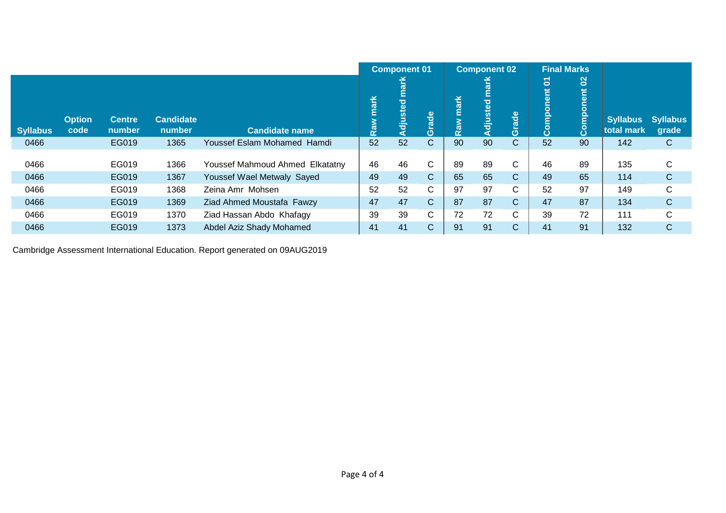|                 |                       |                         |                            |                                 |             | <b>Component 01</b> |       |             | Component 02    |              |                           | <b>Final Marks</b>        |                               |                          |
|-----------------|-----------------------|-------------------------|----------------------------|---------------------------------|-------------|---------------------|-------|-------------|-----------------|--------------|---------------------------|---------------------------|-------------------------------|--------------------------|
| <b>Syllabus</b> | <b>Option</b><br>code | <b>Centre</b><br>number | <b>Candidate</b><br>number | <b>Candidate name</b>           | mark<br>Raw | Adjuste             | Grade | mark<br>Raw | <b>Adjusted</b> | Grade        | $\mathbf{S}$<br>Component | $\mathbf{S}$<br>Component | <b>Syllabus</b><br>total mark | <b>Syllabus</b><br>grade |
| 0466            |                       | EG019                   | 1365                       | Youssef Eslam Mohamed Hamdi     | 52          | 52                  | C.    | 90          | 90              | $\mathsf{C}$ | 52                        | 90                        | 142                           | C                        |
| 0466            |                       | EG019                   | 1366                       | Youssef Mahmoud Ahmed Elkatatny | 46          | 46                  | С     | 89          | 89              | C            | 46                        | 89                        | 135                           | C                        |
| 0466            |                       | EG019                   | 1367                       | Youssef Wael Metwaly Sayed      | 49          | 49                  | C.    | 65          | 65              | $\mathsf{C}$ | 49                        | 65                        | 114                           | $\mathsf{C}$             |
| 0466            |                       | EG019                   | 1368                       | Zeina Amr Mohsen                | 52          | 52                  | С     | 97          | 97              | C.           | 52                        | 97                        | 149                           | С                        |
| 0466            |                       | EG019                   | 1369                       | Ziad Ahmed Moustafa Fawzy       | 47          | 47                  | C.    | 87          | 87              | $\mathsf{C}$ | 47                        | 87                        | 134                           | $\mathsf{C}$             |
| 0466            |                       | EG019                   | 1370                       | Ziad Hassan Abdo Khafagy        | 39          | 39                  | C     | 72          | 72              | C.           | 39                        | 72                        | 111                           | С                        |
| 0466            |                       | EG019                   | 1373                       | Abdel Aziz Shady Mohamed        | 41          | 41                  | C.    | 91          | 91              | С            | 41                        | 91                        | 132                           | $\mathbf C$              |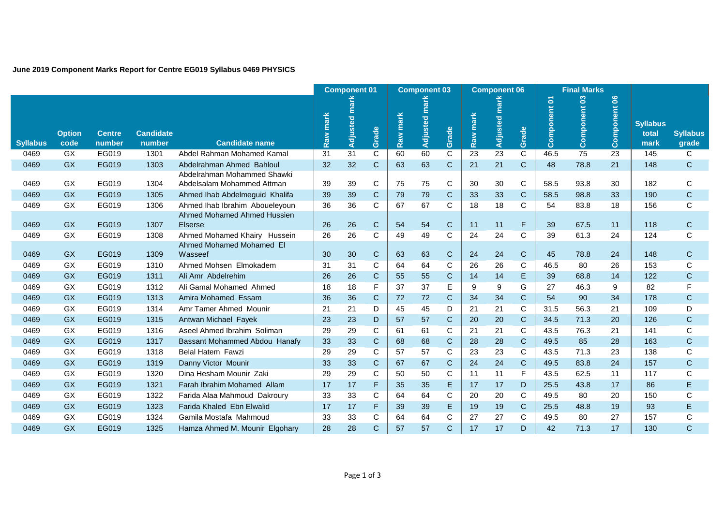#### **June 2019 Component Marks Report for Centre EG019 Syllabus 0469 PHYSICS**

|                 |                       |                         |                            |                                               |             | <b>Component 01</b> |                         | <b>Component 03</b> |               |              |                 | <b>Component 06</b> |                |              | <b>Final Marks</b> |                 |                                  |                          |
|-----------------|-----------------------|-------------------------|----------------------------|-----------------------------------------------|-------------|---------------------|-------------------------|---------------------|---------------|--------------|-----------------|---------------------|----------------|--------------|--------------------|-----------------|----------------------------------|--------------------------|
| <b>Syllabus</b> | <b>Option</b><br>code | <b>Centre</b><br>number | <b>Candidate</b><br>number | <b>Candidate name</b>                         | mark<br>Raw | Adjusted mark       | Grade                   | Raw mark            | Adjusted marl | Grade        | Raw mark        | Adjusted mark       | Grade          | Component 01 | Component 03       | Component 06    | <b>Syllabus</b><br>total<br>mark | <b>Syllabus</b><br>grade |
| 0469            | GX                    | EG019                   | 1301                       | Abdel Rahman Mohamed Kamal                    | 31          | 31                  | $\overline{\mathsf{C}}$ | 60                  | 60            | C            | $\overline{23}$ | $\overline{23}$     | $\mathsf{C}$   | 46.5         | 75                 | $\overline{23}$ | 145                              | C                        |
| 0469            | <b>GX</b>             | EG019                   | 1303                       | Abdelrahman Ahmed Bahloul                     | 32          | 32                  | $\mathbf{C}$            | 63                  | 63            | $\mathbf C$  | 21              | 21                  | $\mathsf{C}$   | 48           | 78.8               | 21              | 148                              | $\mathsf C$              |
|                 |                       |                         |                            | Abdelrahman Mohammed Shawki                   |             |                     |                         |                     |               |              |                 |                     |                |              |                    |                 |                                  |                          |
| 0469            | GX                    | EG019                   | 1304                       | Abdelsalam Mohammed Attman                    | 39          | 39                  | C                       | 75                  | 75            | $\mathsf{C}$ | 30              | 30                  | $\mathsf{C}$   | 58.5         | 93.8               | 30              | 182                              | C                        |
| 0469            | <b>GX</b>             | EG019                   | 1305                       | Ahmed Ihab Abdelmeguid Khalifa                | 39          | 39                  | $\mathsf C$             | 79                  | 79            | $\mathbf C$  | 33              | 33                  | $\mathsf{C}$   | 58.5         | 98.8               | 33              | 190                              | $\mathsf C$              |
| 0469            | GX                    | EG019                   | 1306                       | Ahmed Ihab Ibrahim Aboueleyoun                | 36          | 36                  | $\mathsf C$             | 67                  | 67            | C            | 18              | 18                  | C              | 54           | 83.8               | 18              | 156                              | C                        |
| 0469            | <b>GX</b>             | EG019                   | 1307                       | Ahmed Mohamed Ahmed Hussien<br><b>Elserse</b> | 26          | 26                  | $\mathsf C$             | 54                  | 54            | $\mathbf C$  | 11              | 11                  | F              | 39           | 67.5               | 11              | 118                              | $\mathbf C$              |
| 0469            | GX                    | EG019                   | 1308                       | Ahmed Mohamed Khairy Hussein                  | 26          | 26                  | $\mathsf C$             | 49                  | 49            | $\mathbf C$  | 24              | 24                  | $\mathbf C$    | 39           | 61.3               | 24              | 124                              | C                        |
| 0469            | <b>GX</b>             | EG019                   | 1309                       | Ahmed Mohamed Mohamed El<br>Wasseef           | 30          | 30                  | $\mathsf C$             | 63                  | 63            | $\mathbf C$  | 24              | 24                  | $\mathbf C$    | 45           | 78.8               | 24              | 148                              | $\mathbf C$              |
| 0469            | <b>GX</b>             | EG019                   | 1310                       | Ahmed Mohsen Elmokadem                        | 31          | 31                  | C                       | 64                  | 64            | С            | 26              | 26                  | C              | 46.5         | 80                 | 26              | 153                              | С                        |
| 0469            | <b>GX</b>             | EG019                   | 1311                       | Ali Amr Abdelrehim                            | 26          | 26                  | $\mathsf C$             | 55                  | 55            | $\mathbf C$  | 14              | 14                  | E              | 39           | 68.8               | 14              | 122                              | C                        |
| 0469            | GX                    | EG019                   | 1312                       | Ali Gamal Mohamed Ahmed                       | 18          | 18                  | F                       | 37                  | 37            | E.           | 9               | 9                   | G              | 27           | 46.3               | 9               | 82                               | F                        |
| 0469            | <b>GX</b>             | EG019                   | 1313                       | Amira Mohamed Essam                           | 36          | 36                  | $\mathsf{C}$            | 72                  | 72            | $\mathsf{C}$ | 34              | 34                  | $\mathsf{C}$   | 54           | 90                 | 34              | 178                              | $\mathbf C$              |
| 0469            | GX                    | EG019                   | 1314                       | Amr Tamer Ahmed Mounir                        | 21          | 21                  | D                       | 45                  | 45            | D            | 21              | 21                  | C              | 31.5         | 56.3               | 21              | 109                              | D                        |
| 0469            | <b>GX</b>             | EG019                   | 1315                       | Antwan Michael Fayek                          | 23          | 23                  | D                       | 57                  | 57            | $\mathbf C$  | 20              | 20                  | $\mathbf C$    | 34.5         | 71.3               | 20              | 126                              | $\mathsf C$              |
| 0469            | GX                    | EG019                   | 1316                       | Aseel Ahmed Ibrahim Soliman                   | 29          | 29                  | С                       | 61                  | 61            | С            | 21              | 21                  | С              | 43.5         | 76.3               | 21              | 141                              | $\mathsf{C}$             |
| 0469            | <b>GX</b>             | EG019                   | 1317                       | Bassant Mohammed Abdou Hanafy                 | 33          | 33                  | $\mathsf C$             | 68                  | 68            | $\mathbf C$  | 28              | 28                  | $\overline{C}$ | 49.5         | 85                 | 28              | 163                              | $\mathsf C$              |
| 0469            | GX                    | EG019                   | 1318                       | <b>Belal Hatem Fawzi</b>                      | 29          | 29                  | C                       | 57                  | 57            | С            | 23              | 23                  | C              | 43.5         | 71.3               | 23              | 138                              | С                        |
| 0469            | <b>GX</b>             | EG019                   | 1319                       | Danny Victor Mounir                           | 33          | 33                  | $\mathsf C$             | 67                  | 67            | $\mathsf{C}$ | 24              | 24                  | $\mathsf{C}$   | 49.5         | 83.8               | 24              | 157                              | $\mathsf C$              |
| 0469            | GX                    | EG019                   | 1320                       | Dina Hesham Mounir Zaki                       | 29          | 29                  | C                       | 50                  | 50            | С            | 11              | 11                  | F              | 43.5         | 62.5               | 11              | 117                              | C                        |
| 0469            | <b>GX</b>             | EG019                   | 1321                       | Farah Ibrahim Mohamed Allam                   | 17          | 17                  | F                       | 35                  | 35            | E.           | 17              | 17                  | D              | 25.5         | 43.8               | 17              | 86                               | E                        |
| 0469            | GX                    | EG019                   | 1322                       | Farida Alaa Mahmoud Dakroury                  | 33          | 33                  | C                       | 64                  | 64            | С            | 20              | 20                  | C              | 49.5         | 80                 | 20              | 150                              | C                        |
| 0469            | <b>GX</b>             | EG019                   | 1323                       | Farida Khaled Ebn Elwalid                     | 17          | 17                  | F                       | 39                  | 39            | E.           | 19              | 19                  | $\mathsf{C}$   | 25.5         | 48.8               | 19              | 93                               | E                        |
| 0469            | GX                    | EG019                   | 1324                       | Gamila Mostafa Mahmoud                        | 33          | 33                  | $\mathsf C$             | 64                  | 64            | С            | 27              | 27                  | C              | 49.5         | 80                 | 27              | 157                              | С                        |
| 0469            | GX                    | EG019                   | 1325                       | Hamza Ahmed M. Mounir Elgohary                | 28          | 28                  | $\mathsf C$             | 57                  | 57            | $\mathbf C$  | 17              | 17                  | D              | 42           | 71.3               | 17              | 130                              | C                        |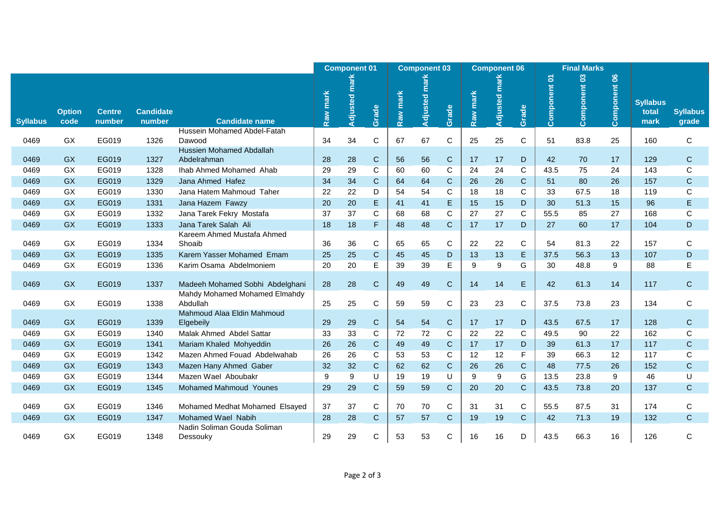|                 |                       |                         |                            |                                           | <b>Component 01</b> |                  | <b>Component 03</b> |          |                     |              | <b>Component 06</b> |                     | <b>Final Marks</b> |              |              |              |                                  |                          |
|-----------------|-----------------------|-------------------------|----------------------------|-------------------------------------------|---------------------|------------------|---------------------|----------|---------------------|--------------|---------------------|---------------------|--------------------|--------------|--------------|--------------|----------------------------------|--------------------------|
| <b>Syllabus</b> | <b>Option</b><br>code | <b>Centre</b><br>number | <b>Candidate</b><br>number | <b>Candidate name</b>                     | Raw mark            | mark<br>Adjusted | Grade               | Raw mark | <b>Adjusted mar</b> | Grade        | Raw mark            | <b>Adjusted mar</b> | Grade              | Component 01 | Component 03 | Component 06 | <b>Syllabus</b><br>total<br>mark | <b>Syllabus</b><br>grade |
| 0469            | GX                    | EG019                   | 1326                       | Hussein Mohamed Abdel-Fatah<br>Dawood     | 34                  | 34               | $\mathsf C$         | 67       | 67                  | С            | 25                  | 25                  | C                  | 51           | 83.8         | 25           | 160                              | $\mathbf C$              |
|                 |                       |                         |                            | Hussien Mohamed Abdallah                  |                     |                  |                     |          |                     |              |                     |                     |                    |              |              |              |                                  |                          |
| 0469            | <b>GX</b>             | EG019                   | 1327                       | Abdelrahman                               | 28                  | 28               | $\mathsf C$         | 56       | 56                  | $\mathbf{C}$ | 17                  | 17                  | D                  | 42           | 70           | 17           | 129                              | $\mathbf C$              |
| 0469            | GX                    | EG019                   | 1328                       | Ihab Ahmed Mohamed Ahab                   | 29                  | 29               | C                   | 60       | 60                  | $\mathbf C$  | 24                  | 24                  | $\mathsf{C}$       | 43.5         | 75           | 24           | 143                              | $\mathbf C$              |
| 0469            | <b>GX</b>             | EG019                   | 1329                       | Jana Ahmed Hafez                          | 34                  | 34               | $\mathsf{C}$        | 64       | 64                  | C            | 26                  | 26                  | $\mathbf C$        | 51           | 80           | 26           | 157                              | $\mathbf C$              |
| 0469            | GX                    | EG019                   | 1330                       | Jana Hatem Mahmoud Taher                  | 22                  | 22               | D                   | 54       | 54                  | С            | 18                  | 18                  | $\mathsf{C}$       | 33           | 67.5         | 18           | 119                              | $\mathbf C$              |
| 0469            | <b>GX</b>             | EG019                   | 1331                       | Jana Hazem Fawzy                          | 20                  | 20               | E                   | 41       | 41                  | E            | 15                  | 15                  | D                  | 30           | 51.3         | 15           | 96                               | E                        |
| 0469            | GX                    | EG019                   | 1332                       | Jana Tarek Fekry Mostafa                  | 37                  | 37               | C                   | 68       | 68                  | C            | 27                  | 27                  | C                  | 55.5         | 85           | 27           | 168                              | $\mathbf C$              |
| 0469            | <b>GX</b>             | EG019                   | 1333                       | Jana Tarek Salah Ali                      | 18                  | 18               | F                   | 48       | 48                  | $\mathsf C$  | 17                  | 17                  | D                  | 27           | 60           | 17           | 104                              | $\mathsf D$              |
| 0469            | GX                    | EG019                   | 1334                       | Kareem Ahmed Mustafa Ahmed<br>Shoaib      | 36                  | 36               | $\mathsf C$         | 65       | 65                  | С            | 22                  | 22                  | $\mathbf C$        | 54           | 81.3         | 22           | 157                              | $\mathbf C$              |
| 0469            | <b>GX</b>             | EG019                   | 1335                       | Karem Yasser Mohamed Emam                 | 25                  | 25               | $\mathsf C$         | 45       | 45                  | D            | 13                  | 13                  | $\mathsf E$        | 37.5         | 56.3         | 13           | 107                              | $\mathsf D$              |
| 0469            | GX                    | EG019                   | 1336                       | Karim Osama Abdelmoniem                   | 20                  | 20               | E                   | 39       | 39                  | Е            | 9                   | 9                   | G                  | 30           | 48.8         | 9            | 88                               | E                        |
| 0469            | <b>GX</b>             | EG019                   | 1337                       | Madeeh Mohamed Sobhi Abdelghani           | 28                  | 28               | $\mathsf C$         | 49       | 49                  | $\mathbf C$  | 14                  | 14                  | E                  | 42           | 61.3         | 14           | 117                              | $\mathbf C$              |
| 0469            | GX                    | EG019                   | 1338                       | Mahdy Mohamed Mohamed Elmahdy<br>Abdullah | 25                  | 25               | $\mathsf C$         | 59       | 59                  | $\mathbf C$  | 23                  | 23                  | $\mathbf C$        | 37.5         | 73.8         | 23           | 134                              | $\mathbf C$              |
| 0469            | <b>GX</b>             | EG019                   | 1339                       | Mahmoud Alaa Eldin Mahmoud<br>Elgebeily   | 29                  | 29               | $\mathsf{C}$        | 54       | 54                  | $\mathbf C$  | 17                  | 17                  | D                  | 43.5         | 67.5         | 17           | 128                              | $\mathbf C$              |
| 0469            | GX                    | EG019                   | 1340                       | Malak Ahmed Abdel Sattar                  | 33                  | 33               | $\mathsf C$         | 72       | 72                  | $\mathbf C$  | 22                  | 22                  | $\mathbf C$        | 49.5         | 90           | 22           | 162                              | $\mathbf C$              |
| 0469            | <b>GX</b>             | EG019                   | 1341                       | Mariam Khaled Mohyeddin                   | 26                  | 26               | C                   | 49       | 49                  | C            | 17                  | 17                  | D                  | 39           | 61.3         | 17           | 117                              | $\mathbf C$              |
| 0469            | GX                    | EG019                   | 1342                       | Mazen Ahmed Fouad Abdelwahab              | 26                  | 26               | $\mathsf C$         | 53       | 53                  | C            | 12                  | 12                  | F                  | 39           | 66.3         | 12           | 117                              | $\mathbf C$              |
| 0469            | <b>GX</b>             | EG019                   | 1343                       | Mazen Hany Ahmed Gaber                    | 32                  | 32               | $\mathbf C$         | 62       | 62                  | C            | 26                  | 26                  | $\mathsf{C}$       | 48           | 77.5         | 26           | 152                              | $\mathbf C$              |
| 0469            | GX                    | EG019                   | 1344                       | Mazen Wael Aboubakr                       | 9                   | $\boldsymbol{9}$ | U                   | 19       | 19                  | U            | 9                   | $\boldsymbol{9}$    | G                  | 13.5         | 23.8         | 9            | 46                               | $\sf U$                  |
| 0469            | <b>GX</b>             | EG019                   | 1345                       | <b>Mohamed Mahmoud Younes</b>             | 29                  | 29               | C                   | 59       | 59                  | C            | 20                  | 20                  | $\mathbf C$        | 43.5         | 73.8         | 20           | 137                              | $\mathbf C$              |
| 0469            | GX                    | EG019                   | 1346                       | Mohamed Medhat Mohamed Elsayed            | 37                  | 37               | C                   | 70       | 70                  | C            | 31                  | 31                  | $\mathbf C$        | 55.5         | 87.5         | 31           | 174                              | $\mathbf C$              |
| 0469            | <b>GX</b>             | EG019                   | 1347                       | <b>Mohamed Wael Nabih</b>                 | 28                  | 28               | $\mathbf C$         | 57       | 57                  | $\mathbf C$  | 19                  | 19                  | $\mathbf C$        | 42           | 71.3         | 19           | 132                              | $\mathbf C$              |
| 0469            | GX                    | EG019                   | 1348                       | Nadin Soliman Gouda Soliman<br>Dessouky   | 29                  | 29               | $\mathsf C$         | 53       | 53                  | C            | 16                  | 16                  | D                  | 43.5         | 66.3         | 16           | 126                              | $\mathbf C$              |